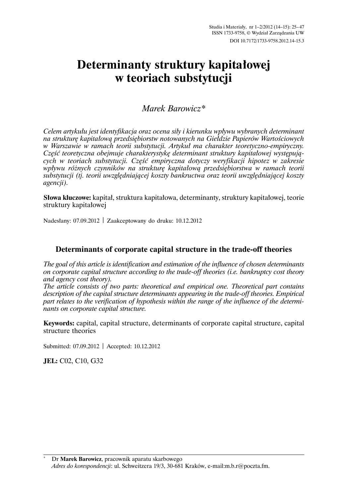# Determinanty struktury kapitałowej w teoriach substytucji

## Marek Barowicz\*

Celem artykułu jest identyfikacja oraz ocena siły i kierunku wpływu wybranych determinant na strukture kapitałowa przedsiebiorstw notowanych na Giełdzie Papierów Wartościowych w Warszawie w ramach teorii substytucji. Artykuł ma charakter teoretyczno-empiryczny. Część teoretyczna obejmuje charakterystykę determinant struktury kapitałowej występujących w teoriach substytucii. Cześć empiryczna dotyczy weryfikacji hipotez w zakresie wpływu różnych czynników na strukturę kapitałową przedsiębiorstwa w ramach teorii substytucji (tj. teorii uwzględniającej koszty bankructwa oraz teorii uwzględniającej koszty agencii).

Słowa kluczowe: kapitał, struktura kapitałowa, determinanty, struktury kapitałowej, teorie struktury kapitałowej

Nadesłany: 07.09.2012 | Zaakceptowany do druku: 10.12.2012

## Determinants of corporate capital structure in the trade-off theories

The goal of this article is identification and estimation of the influence of chosen determinants on corporate capital structure according to the trade-off theories (i.e. bankruptcy cost theory and agency cost theory).

The article consists of two parts: theoretical and empirical one. Theoretical part contains description of the capital structure determinants appearing in the trade-off theories. Empirical part relates to the verification of hypothesis within the range of the influence of the determinants on corporate capital structure.

Keywords: capital, capital structure, determinants of corporate capital structure, capital structure theories

Submitted: 07.09.2012 | Accepted: 10.12.2012

JEL: C02, C10, G32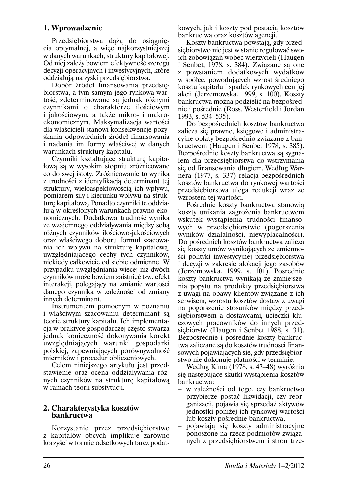## 1. Wprowadzenie

Przedsiębiorstwa daża do osiągniecia optymalnej, a więc najkorzystniejszej w danych warunkach, struktury kapitałowej. Od niej zależy bowiem efektywność szeregu decyzji operacyjnych i inwestycyjnych, które oddziałują na zyski przedsiębiorstwa.

Dobór źródeł finansowania przedsiebiorstwa, a tym samym jego rynkowa wartość, zdeterminowane są jednak różnymi czynnikami o charakterze ilościowym i jakościowym, a także mikro- i makroekonomicznym. Maksymalizacja wartości dla właścicieli stanowi konsekwencję pozyskania odpowiednich źródeł finansowania i nadania im formy właściwej w danych warunkach struktury kapitału.

Czynniki kształtujące strukturę kapitałową są w wysokim stopniu zróżnicowane co do swej istoty. Zróżnicowanie to wynika z trudności z identyfikacja determinant tej struktury, wieloaspektowością ich wpływu, pomiarem siły i kierunku wpływu na strukture kapitalowa. Ponadto czynniki te oddziałują w określonych warunkach prawno-ekonomicznych. Dodatkowa trudność wynika ze wzajemnego oddziaływania między sobą różnych czynników ilościowo-jakościowych oraz właściwego doboru formuł szacowania ich wpływu na strukturę kapitałową, uwzględniającego cechy tych czynników, niekiedy całkowicie od siebie odmienne. W przypadku uwzględniania więcej niż dwóch czynników może bowiem zaistnieć tzw. efekt interakcji, polegający na zmianie wartości danego czynnika w zależności od zmiany innych determinant.

Instrumentem pomocnym w poznaniu i właściwym szacowaniu determinant są teorie struktury kapitału. Ich implementacja w praktyce gospodarczej często stwarza jednak konieczność dokonywania korekt uwzględniających warunki gospodarki polskiej, zapewniających porównywalność mierników i procedur obliczeniowych.

Celem niniejszego artykułu jest przedstawienie oraz ocena oddziaływania różnych czynników na strukturę kapitałową w ramach teorii substytucji.

### 2. Charakterystyka kosztów **bankructwa**

Korzystanie przez przedsiębiorstwo z kapitałów obcych implikuje zarówno korzyści w formie odsetkowych tarcz podatkowych, jak i koszty pod postacia kosztów bankructwa oraz kosztów agencji.

Koszty bankructwa powstają, gdy przedsiębiorstwo nie jest w stanie regulować swoich zobowiązań wobec wierzycieli (Haugen i Senbet, 1978, s. 384). Związane są one z powstaniem dodatkowych wydatków w spółce, powodujących wzrost średniego kosztu kapitału i spadek rynkowych cen jej akcji (Jerzemowska, 1999, s. 100). Koszty bankructwa można podzielić na bezpośrednie i pośrednie (Ross, Westerfield i Jordan 1993, s. 534–535).

Do bezpośrednich kosztów bankructwa zalicza się prawne, księgowe i administracyjne opłaty bezpośrednio związane z bankructwem (Haugen i Senbet 1978, s. 385). Bezpośrednie koszty bankructwa są sygnatem dla przedsiębiorstwa do wstrzymania się od finansowania długiem. Według Warnera (1977, s. 337) relacja bezpośrednich kosztów bankructwa do rynkowej wartości przedsiębiorstwa ulega redukcji wraz ze wzrostem tej wartości.

Pośrednie koszty bankructwa stanowią koszty unikania zagrożenia bankructwem wskutek wystąpienia trudności finansowych w przedsiębiorstwie (pogorszenia wyników działalności, niewypłacalności). Do pośrednich kosztów bankructwa zalicza się koszty umów wynikających ze zmienności polityki inwestycyjnej przedsiębiorstwa i decyzji w zakresie alokacji jego zasobów (Jerzemowska, 1999, s. 101). Pośrednie koszty bankructwa wynikają ze zmniejszenia popytu na produkty przedsiębiorstwa z uwagi na obawy klientów związane z ich serwisem, wzrostu kosztów dostaw z uwagi na pogorszenie stosunków między przedsiębiorstwem a dostawcami, ucieczki kluczowych pracowników do innych przedsiębiorstw (Haugen i Senbet 1988, s. 31). Bezpośrednie i pośrednie koszty bankructwa zaliczane są do kosztów trudności finansowych pojawiających się, gdy przedsiębiorstwo nie dokonuje płatności w terminie.

Według Kima (1978, s. 47–48) wyróżnia się następujące skutki wystąpienia kosztów bankructwa:

- w zależności od tego, czy bankructwo przybierze postać likwidacji, czy reorganizacji, pojawia się sprzedaż aktywów jednostki poniżej ich rynkowej wartości lub koszty pośrednie bankructwa,
- pojawiają się koszty administracyjne ponoszone na rzecz podmiotów związanych z przedsiębiorstwem i stron trze-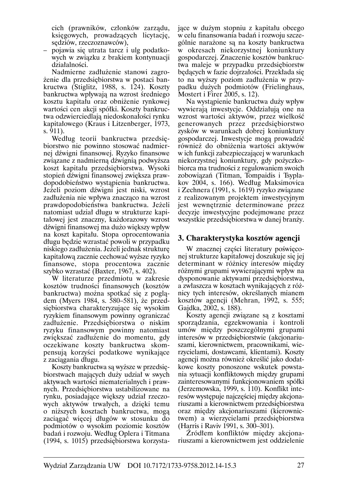cich (prawników, członków zarzadu, księgowych, prowadzących licytację, sedziów, rzeczoznawców),

pojawia się utrata tarcz i ulg podatkowych w związku z brakiem kontynuacji działalności.

Nadmierne zadłużenie stanowi zagrożenie dla przedsiębiorstwa w postaci bankructwa (Stiglitz, 1988, s. 124). Koszty bankructwa wpływają na wzrost średniego kosztu kapitału oraz obniżenie rynkowej wartości cen akcji spółki. Koszty bankructwa odzwierciedlają niedoskonałości rynku kapitałowego (Kraus i Litzenberger, 1973,  $s. 911$ ).

Według teorii bankructwa przedsiębiorstwo nie powinno stosować nadmiernej dźwigni finansowej. Ryzyko finansowe związane z nadmierną dźwignią podwyższa koszt kapitału przedsiębiorstwa. Wysoki stopień dźwigni finansowej zwiększa prawdopodobieństwo wystąpienia bankructwa. Jeżeli poziom dźwigni jest niski, wzrost zadłużenia nie wpływa znaczaco na wzrost prawdopodobieństwa bankructwa. Jeżeli natomiast udział długu w strukturze kapitałowej jest znaczny, każdorazowy wzrost dźwigni finansowej ma dużo większy wpływ na koszt kapitału. Stopa oprocentowania długu będzie wzrastać powoli w przypadku niskiego zadłużenia. Jeżeli jednak strukturę kapitałową zacznie cechować wyższe ryzyko finansowe, stopa procentowa zacznie szybko wzrastać (Baxter, 1967, s. 402).

W literaturze przedmiotu w zakresie kosztów trudności finansowych (kosztów bankructwa) można spotkać się z poglądem (Myers 1984, s. 580–581), że przedsiębiorstwa charakteryzujące się wysokim ryzykiem finansowym powinny ograniczać zadłużenie. Przedsiębiorstwa o niskim ryzyku finansowym powinny natomiast zwiększać zadłużenie do momentu, gdy oczekiwane koszty bankructwa skompensują korzyści podatkowe wynikające z zaciągania długu.

Koszty bankructwa są wyższe w przedsiębiorstwach mających duży udział w swych aktywach wartości niematerialnych i prawnych. Przedsiębiorstwa ustabilizowane na rynku, posiadające większy udział rzeczowych aktywów trwałych, a dzięki temu o niższych kosztach bankructwa, mogą zaciągać więcej długów w stosunku do podmiotów o wysokim poziomie kosztów badań i rozwoju. Według Oplera i Titmana (1994, s. 1015) przedsiębiorstwa korzystajace w dużym stopniu z kapitału obcego w celu finansowania badań i rozwoju szczególnie narażone sa na koszty bankructwa w okresach niekorzystnej koniunktury gospodarczej. Znaczenie kosztów bankructwa maleje w przypadku przedsiębiorstw będących w fazie dojrzałości. Przekłada się to na wyższy poziom zadłużenia w przypadku dużych podmiotów (Frielinghaus, Mostert i Firer 2005, s. 12).

Na wystąpienie bankructwa duży wpływ wywierają inwestycje. Oddziałują one na wzrost wartości aktywów, przez wielkość generowanych przez przedsiebiorstwo zysków w warunkach dobrej koniunktury gospodarczej. Inwestycje mogą prowadzić również do obniżenia wartości aktywów w ich funkcji zabezpieczającej w warunkach niekorzystnej koniunktury, gdy pożyczkobiorca ma trudności z regulowaniem swoich zobowiązań (Titman, Tompaidis i Tsyplakov 2004, s. 166). Według Maksimovica i Zechnera (1991, s. 1619) ryzyko związane z realizowanym projektem inwestycyjnym jest wewnętrznie determinowane przez decyzje inwestycyjne podejmowane przez wszystkie przedsiębiorstwa w danej branży.

## 3. Charakterystyka kosztów agencji

W znacznej części literatury poświęconej strukturze kapitałowej doszukuje się jej determinant w różnicy interesów między różnymi grupami wywierającymi wpływ na dysponowanie aktywami przedsiębiorstwa, a zwłaszcza w kosztach wynikających z różnicy tych interesów, określanych mianem kosztów agencji (Mehran, 1992, s. 555; Gajdka, 2002, s. 188).

Koszty agencji związane są z kosztami sporządzania, egzekwowania i kontroli umów między poszczególnymi grupami interesów w przedsiębiorstwie (akcjonariuszami, kierownictwem, pracownikami, wierzycielami, dostawcami, klientami). Koszty agencji można również określić jako dodatkowe koszty ponoszone wskutek powstania sytuacji konfliktowych między grupami zainteresowanymi funkcjonowaniem spółki (Jerzemowska, 1999, s. 110). Konflikt interesów występuje najczęściej między akcjonariuszami a kierownictwem przedsiębiorstwa oraz między akcjonariuszami (kierownictwem) a wierzycielami przedsiębiorstwa (Harris i Raviv 1991, s. 300–301).

Źródłem konfliktów między akcjonariuszami a kierownictwem jest oddzielenie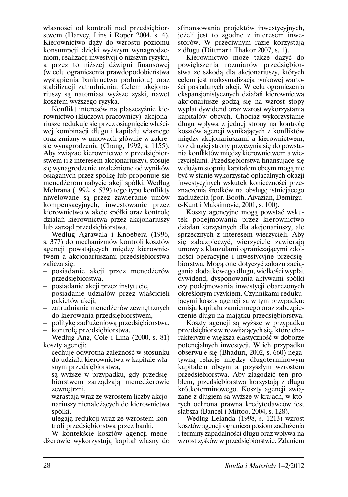własności od kontroli nad przedsiebiorstwem (Harvey, Lins i Roper 2004, s. 4). Kierownictwo dąży do wzrostu poziomu konsumpcji dzięki wyższym wynagrodzeniom, realizacji inwestycji o niższym ryzyku, a przez to niższej dźwigni finansowej (w celu ograniczenia prawdopodobieństwa wystąpienia bankructwa podmiotu) oraz stabilizacji zatrudnienia. Celem akcionariuszy są natomiast wyższe zyski, nawet kosztem wyższego ryzyka.

Konflikt interesów na płaszczyźnie kierownictwo (kluczowi pracownicy)–akcjonariusze redukuje się przez osiągniecie właściwej kombinacji długu i kapitału własnego oraz zmiany w umowach głównie w zakresie wynagrodzenia (Chang, 1992, s. 1155). Aby związać kierownictwo z przedsiębiorstwem (*i* z interesem akcjonariuszy), stosuje się wynagrodzenie uzależnione od wyników osiąganych przez spółkę lub proponuje się menedżerom nabycie akcji spółki. Według Mehrana (1992, s. 539) tego typu konflikty niwelowane sa przez zawieranie umów kompensacyjnych, inwestowanie przez kierownictwo w akcje spółki oraz kontrolę działań kierownictwa przez akcjonariuszy lub zarząd przedsiębiorstwa.

Według Agrawala i Knoebera (1996, s. 377) do mechanizmów kontroli kosztów agencji powstających między kierownictwem a akcjonariuszami przedsiębiorstwa zalicza się:

- posiadanie akcji przez menedżerów przedsiębiorstwa,
- posiadanie akcji przez instytucje,
- posiadanie udziałów przez właścicieli pakietów akcji,
- zatrudnianie menedżerów zewnętrznych do kierowania przedsiębiorstwem,
- politykę zadłużeniową przedsiębiorstwa,
- kontrolę przedsiębiorstwa. Według Ang, Cole i Lina (2000, s. 81) koszty agencji:
- cechuje odwrotna zależność w stosunku do udziału kierownictwa w kapitale własnym przedsiębiorstwa,
- są wyższe w przypadku, gdy przedsiębiorstwem zarządzają menedżerowie zewnętrzni,
- wzrastają wraz ze wzrostem liczby akcjonariuszy nienależących do kierownictwa spółki,
- ulegają redukcji wraz ze wzrostem kontroli przedsiębiorstwa przez banki.

W kontekście kosztów agencji menedżerowie wykorzystują kapitał własny do sfinansowania projektów inwestycyjnych. jeżeli jest to zgodne z interesem inwestorów. W przeciwnym razie korzystają z długu (Dittmar i Thakor 2007, s. 1).

Kierownictwo może także dażyć do powiększenia rozmiarów przedsiębiorstwa ze szkoda dla akcionariuszy, których celem jest maksymalizacja rynkowej wartości posiadanych akcji. W celu ograniczenia ekspansjonistycznych działań kierownictwa akcjonariusze godzą się na wzrost stopy wypłat dywidend oraz wzrost wykorzystania kapitałów obcych. Chociaż wykorzystanie długu wpływa z jednej strony na kontrole kosztów agencji wynikających z konfliktów miedzy akcionariuszami a kierownictwem, to z drugiej strony przyczynia się do powstania konfliktów między kierownictwem a wierzycielami. Przedsiębiorstwa finansujące się w dużym stopniu kapitałem obcym mogą nie być w stanie wykorzystać opłacalnych okazji inwestycyjnych wskutek konieczności przeznaczenia środków na obsługę istniejącego zadłużenia (por. Booth, Aivazian, Demirguc-Kunt i Maksimovic, 2001, s. 100).

Koszty agencyjne mogą powstać wskutek podejmowania przez kierownictwo działań korzystnych dla akcjonariuszy, ale sprzecznych z interesem wierzycieli. Aby się zabezpieczyć, wierzyciele zawierają umowy z klauzulami ograniczającymi zdolności operacyjne i inwestycyjne przedsiębiorstwa. Mogą one dotyczyć zakazu zaciągania dodatkowego długu, wielkości wypłat dywidend, dysponowania aktywami spółki czy podejmowania inwestycji obarczonych określonym ryzykiem. Czynnikami redukującymi koszty agencji są w tym przypadku: emisja kapitału zamiennego oraz zabezpieczenie długu na majątku przedsiębiorstwa.

Koszty agencji są wyższe w przypadku przedsiębiorstw rozwijających się, które charakteryzuje większa elastyczność w doborze potencjalnych inwestycji. W ich przypadku obserwuje się (Bhaduri, 2002, s. 660) negatywną relację między długoterminowym kapitałem obcym a przyszłym wzrostem przedsiębiorstwa. Aby złagodzić ten problem, przedsiębiorstwa korzystają z długu krótkoterminowego. Koszty agencji związane z długiem są wyższe w krajach, w których ochrona prawna kredytodawców jest słabsza (Bancel i Mittoo, 2004, s. 128).

Według Lelanda (1998, s. 1213) wzrost kosztów agencji ogranicza poziom zadłużenia i terminy zapadalności długu oraz wpływa na wzrost zysków w przedsiębiorstwie. Zdaniem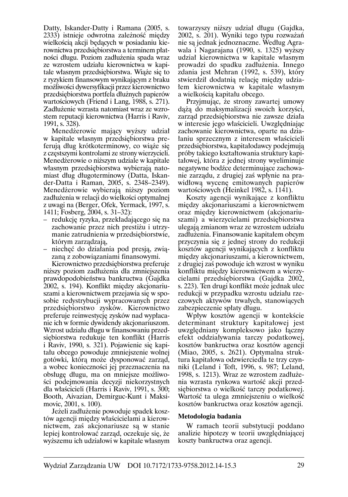Datty, Iskander-Datty i Ramana (2005, s. 2333) istnieje odwrotna zależność miedzy wielkościa akcji bedacych w posiadaniu kierownictwa przedsiębiorstwa a terminem płatności długu. Poziom zadłużenia spada wraz ze wzrostem udziału kierownictwa w kapitale własnym przedsiębiorstwa. Wiąże się to z ryzykiem finansowym wynikającym z braku możliwości dywersyfikacji przez kierownictwo przedsiębiorstwa portfela dłużnych papierów wartościowych (Friend i Lang, 1988, s. 271). Zadłużenie wzrasta natomiast wraz ze wzrostem reputacji kierownictwa (Harris i Raviv, 1991, s. 328).

Menedżerowie mający wyższy udział w kapitale własnym przedsiębiorstwa preferują dług krótkoterminowy, co wiąże się z częstszymi kontrolami ze strony wierzycieli. Menedżerowie o niższym udziale w kapitale własnym przedsiębiorstwa wybierają natomiast dług długoterminowy (Datta, Iskander-Datta i Raman, 2005, s. 2348-2349). Menedżerowie wybierają niższy poziom zadłużenia w relacji do wielkości optymalnej z uwagi na (Berger, Ofek, Yermack, 1997, s. 1411; Fosberg, 2004, s. 31–32):

- redukcję ryzyka, przekładającego się na zachowanie przez nich prestiżu i utrzymanie zatrudnienia w przedsiębiorstwie, którym zarządzają,
- niechęć do działania pod presją, związaną z zobowiązaniami finansowymi.

Kierownictwo przedsiębiorstwa preferuje niższy poziom zadłużenia dla zmniejszenia prawdopodobieństwa bankructwa (Gajdka 2002, s. 194). Konflikt między akcjonariuszami a kierownictwem przejawia się w sposobie redystrybucji wypracowanych przez przedsiębiorstwo zysków. Kierownictwo preferuje reinwestycję zysków nad wypłacanie ich w formie dywidendy akcjonariuszom. Wzrost udziału długu w finansowaniu przedsiębiorstwa redukuje ten konflikt (Harris i Raviv, 1990, s. 321). Pojawienie się kapitału obcego powoduje zmniejszenie wolnej gotówki, którą może dysponować zarząd, a wobec konieczności jej przeznaczenia na obsługę długu, ma on mniejsze możliwości podejmowania decyzji niekorzystnych dla właścicieli (Harris i Raviv, 1991, s. 300; Booth, Aivazian, Demirguc-Kunt i Maksimovic, 2001, s. 100).

Jeżeli zadłużenie powoduje spadek kosztów agencji między właścicielami a kierownictwem, zaś akcjonariusze są w stanie lepiej kontrolować zarząd, oczekuje się, że wyższemu ich udziałowi w kapitale własnym towarzyszy niższy udział długu (Gaidka, 2002, s. 201). Wyniki tego typu rozważań nie są jednak jednoznaczne. Według Agrawala i Nagarajana (1990, s. 1325) wyższy udział kierownictwa w kapitale własnym prowadzi do spadku zadłużenia. Innego zdania jest Mehran (1992, s. 539), który stwierdził dodatnią relację między udziatem kierownictwa w kapitale własnym a wielkością kapitału obcego.

Przyjmując, że strony zawartej umowy dążą do maksymalizacji swoich korzyści, zarząd przedsiębiorstwa nie zawsze działa w interesie jego właścicieli. Uwzgledniając zachowanie kierownictwa, oparte na działaniu sprzecznym z interesem właścicieli przedsiębiorstwa, kapitałodawcy podejmują próby takiego kształtowania struktury kapitałowej, która z jednej strony wyeliminuje negatywne bodźce determinujące zachowanie zarządu, z drugiej zaś wpłynie na prawidłową wycenę emitowanych papierów wartościowych (Heinkel 1982, s. 1141).

Koszty agencji wynikające z konfliktu miedzy akcionariuszami a kierownictwem oraz między kierownictwem (akcjonariuszami) a wierzycielami przedsiębiorstwa ulegają zmianom wraz ze wzrostem udziału zadłużenia. Finansowanie kapitałem obcym przyczynia się z jednej strony do redukcji kosztów agencji wynikających z konfliktu między akcjonariuszami, a kierownictwem, z drugiej zaś powoduje ich wzrost w wyniku konfliktu miedzy kierownictwem a wierzycielami przedsiębiorstwa (Gajdka 2002, s. 223). Ten drugi konflikt może jednak ulec redukcji w przypadku wzrostu udziału rzeczowych aktywów trwałych, stanowiących zabezpieczenie spłaty długu.

Wpływ kosztów agencji w kontekście determinant struktury kapitałowej jest uwzględniany kompleksowo jako łączny efekt oddziaływania tarczy podatkowej, kosztów bankructwa oraz kosztów agencji (Miao, 2005, s. 2621). Optymalna struktura kapitałowa odzwierciedla te trzy czynniki (Leland i Toft, 1996, s. 987; Leland, 1998, s. 1213). Wraz ze wzrostem zadłużenia wzrasta rynkowa wartość akcji przedsiębiorstwa o wielkość tarczy podatkowej. Wartość ta ulega zmniejszeniu o wielkość kosztów bankructwa oraz kosztów agencji.

#### Metodologia badania

W ramach teorii substytucji poddano analizie hipotezy w teorii uwzględniającej koszty bankructwa oraz agencji.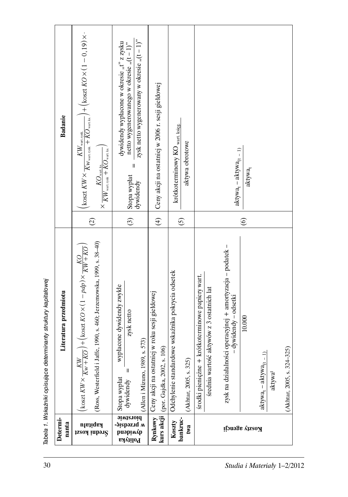| Ceny akcji na ostatniej w 2006 r. sesji giełdowej<br><b>Badanie</b><br>koszt $KW\times \frac{1}{K{w_{\rm{want}}}}$ ,<br>$\frac{1}{K{Q_{\rm{wart, ks}}}}$ /<br>krótkoterminowy KO wart. księg.<br>$KW_{\rm{wart.rynk.}}$<br> |  |                                                                                                                                              |
|-----------------------------------------------------------------------------------------------------------------------------------------------------------------------------------------------------------------------------|--|----------------------------------------------------------------------------------------------------------------------------------------------|
|                                                                                                                                                                                                                             |  |                                                                                                                                              |
|                                                                                                                                                                                                                             |  | $+(kostKO\times(1-0,19)\times$                                                                                                               |
|                                                                                                                                                                                                                             |  | zysk netto wygenerowany w okresie " $(t-1)$ "<br>dywidendy wypłacone w okresie " $t$ " z zysku<br>netto wygenerowanego w okresie " $(t-1)$ " |
|                                                                                                                                                                                                                             |  |                                                                                                                                              |
|                                                                                                                                                                                                                             |  |                                                                                                                                              |
| (Akhtar, 2005, s. 324-325)                                                                                                                                                                                                  |  |                                                                                                                                              |

Tabela 1. Wskaźniki opisujące determinanty struktury kapitałowej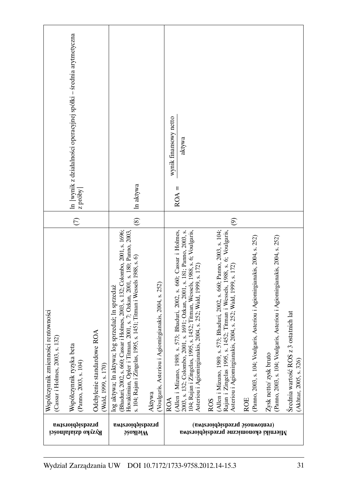| In  wynik z działalności operacyjnej spółki - średnia arytmetyczna<br>z próby                                                                                                                                                         | In aktywa                                                                                                                                                                                                                                                                                                                                                                                             | wynik finansowy netto<br>aktywa<br>$ROA =$                                                                                                                                                                                                                                                                                                                                                                                                                                                                                                                                                                                                                                                                                                                                                                                                                                                                                                |
|---------------------------------------------------------------------------------------------------------------------------------------------------------------------------------------------------------------------------------------|-------------------------------------------------------------------------------------------------------------------------------------------------------------------------------------------------------------------------------------------------------------------------------------------------------------------------------------------------------------------------------------------------------|-------------------------------------------------------------------------------------------------------------------------------------------------------------------------------------------------------------------------------------------------------------------------------------------------------------------------------------------------------------------------------------------------------------------------------------------------------------------------------------------------------------------------------------------------------------------------------------------------------------------------------------------------------------------------------------------------------------------------------------------------------------------------------------------------------------------------------------------------------------------------------------------------------------------------------------------|
| $\circ$                                                                                                                                                                                                                               | $\circledS$                                                                                                                                                                                                                                                                                                                                                                                           | $\widehat{\mathcal{O}}$                                                                                                                                                                                                                                                                                                                                                                                                                                                                                                                                                                                                                                                                                                                                                                                                                                                                                                                   |
| ości rentowności<br>Odchylenie standardowe ROA<br>s. 132)<br>beta<br>Współczynnik zmienn<br>(Cassar i Holmes, 2003<br>Współczynnik ryzyka<br>(Panno, 2003, s. 104)<br>(Wald, 1999, s. 170)<br>przedsiębiorstwa<br>Ryzyko działalności | (Bhaduri, 2002, s. 660; Cassar i Holmes, 2003, s. 132; Colombo, 2001, s. 1696;<br>tman. 2001, s. 7; Ozkan, 2001, s. 180; Panno, 2003,<br>1995, s. 1451; Titman i Wessels 1988, s. 6)<br>(Voulgaris, Asteriou i Agiomirgianakis, 2004, s. 252)<br>log sprzedaż; ln sprzedaż<br>log aktywa; ln aktywa;<br>Hovakimian, Opler i Ti<br>s. 104; Rajan i Zingelas,<br>Aktywa<br>przedsiębiorstwa<br>950Al9iW | s. 573; Bhaduri, 2002, s. 660; Panno, 2003, s. 104;<br>s. 573; Bhaduri, 2002, s. 660; Cassar i Holmes,<br>2001, s. 1691; Ozkan, 2001, s. 181; Panno, 2003, s.<br>995, s. 1452; Titman, Wessels, 1988, s. 6; Voulgaris,<br>s. 1452; Titman i Wessels, 1988, s. 6; Voulgaris,<br>(Panno, 2003, s. 104; Voulgaris, Asteriou i Agiomirgianakis, 2004, s. 252)<br>(Panno, 2003, s. 104; Voulgaris, Asteriou i Agiomirgianakis, 2004, s. 252)<br>akis, 2004, s. 252; Wald, 1999, s. 172)<br>akis, 2004, s. 252; Wald, 1999, s. 172)<br>z 3 ostatnich lat<br>Zysk netto/zysk bruto<br>104; Rajan i Zingelas, 1<br>Asteriou i Agiomirgian:<br>Asteriou i Agiomirgian<br>(Allen i Mizuno, 1989)<br>2003, s. 132; Colombo,<br>Średnia wartość ROS<br>Rajan i Zingelas 1995,<br>(Allen i Mizuno, 1989,<br>(Akhtar, 2005, s. 326)<br><b>ROE</b><br><b>ROA</b><br><b>ROS</b><br>(remtowność przedsiębiorstwa)<br>Mierniki ekonomiczne przedsiębiorstwa |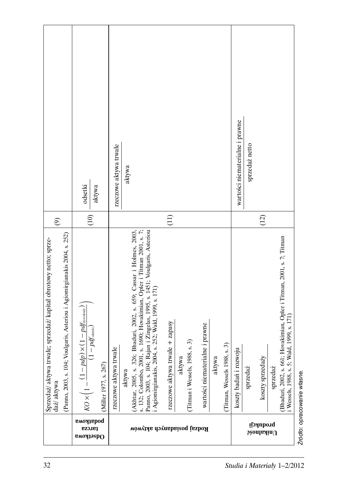|                                                                                                                                                               | odsetki<br>aktywa                                                                                                                                      | rzeczowe aktywa trwałe<br>aktywa                                                                                                                                                                                                                                                                                                                                                                                                                                                                | wartości niematerialne i prawne<br>sprzedaż netto                                                                                                                                            |
|---------------------------------------------------------------------------------------------------------------------------------------------------------------|--------------------------------------------------------------------------------------------------------------------------------------------------------|-------------------------------------------------------------------------------------------------------------------------------------------------------------------------------------------------------------------------------------------------------------------------------------------------------------------------------------------------------------------------------------------------------------------------------------------------------------------------------------------------|----------------------------------------------------------------------------------------------------------------------------------------------------------------------------------------------|
| $\widehat{\mathcal{O}}$                                                                                                                                       | $\widehat{E}$                                                                                                                                          | $\left(11\right)$                                                                                                                                                                                                                                                                                                                                                                                                                                                                               | (12)                                                                                                                                                                                         |
| (Panno, 2003, s. 104; Voulgaris, Asteriou i Agiomirgianakis 2004, s. 252)<br>Sprzedaż/ aktywa trwałe; sprzedaż/ kapitał obrotowy netto; sprze-<br>daż/ aktywa | $\times (1-pdf_{\rm{dymiency}})$<br>$-pd_{\scriptscriptstyle{\text{dseksi}}}$<br>$KO\times\left(1-\frac{(1-pdp)}{1-1}\right)$<br>(Miller 1977, s. 267) | Bhaduri, 2002, s. 659; Cassar i Holmes, 2003,<br>s. 132; Colombo, 2001, s. 1690; Hovakimian, Opler i Titman 2001, s. 7;<br>Panno, 2003, s. 104; Rajan i Zingelas, 1995, s. 1451; Voulgaris, Asteriou<br>s. 252; Wald, 1999, s. 171)<br>rzeczowe aktywa trwałe + zapasy<br>ne i prawne<br>$(Titman$ i Wessels, $1988, s. 3)$<br>s.3<br>rzeczowe aktywa trwałe<br>Agiomirgianakis, 2004.<br>wartości niematerial<br>(Akhtar, 2005, s. 326;<br>Titman, Wessels 1988,<br>aktywa<br>aktywa<br>aktywa | Hovakimian, Opler i Titman, 2001, s. 7; Titman<br>Wessels, 1988, s. 5; Wald, 1999, s. 171)<br>koszty badań i rozwoju<br>Bhaduri, 2002, s. 661; I<br>koszty sprzedaży<br>sprzedaż<br>sprzedaż |
|                                                                                                                                                               | рофтрома<br>еголер<br>емояјзарО                                                                                                                        | Rodzaj posiadanych aktywów                                                                                                                                                                                                                                                                                                                                                                                                                                                                      | produkcji<br>$\mathfrak z$ èonla $\mathfrak i$ in $\mathfrak l$                                                                                                                              |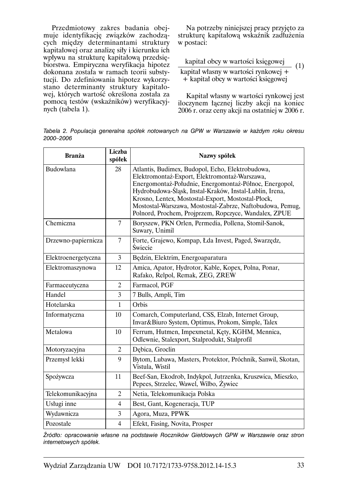Przedmiotowy zakres badania obeimuje identyfikację związków zachodzących między determinantami struktury kapitałowej oraz analizę siły i kierunku ich wpływu na strukturę kapitałową przedsiębiorstwa. Empiryczna weryfikacja hipotez dokonana została w ramach teorii substvtucji. Do zdefiniowania hipotez wykorzystano determinanty struktury kapitałowej, których wartość określona została za pomocą testów (wskaźników) weryfikacyjnych (tabela 1).

Na potrzeby niniejszej pracy przyjęto za strukturę kapitałową wskaźnik zadłużenia w postaci:

kapitał obcy w wartości księgowej  $(1)$ kapitał własny w wartości rynkowej + + kapitał obcy w wartości księgowej

Kapitał własny w wartości rynkowej jest iloczynem łącznej liczby akcji na koniec 2006 r. oraz ceny akcji na ostatniej w 2006 r.

Tabela 2. Populacja generalna spółek notowanych na GPW w Warszawie w każdym roku okresu 2000-2006

| <b>Branża</b>       | Liczba<br>spółek | Nazwy spółek                                                                                                                                                                                                                                                                                                                                                                                       |  |
|---------------------|------------------|----------------------------------------------------------------------------------------------------------------------------------------------------------------------------------------------------------------------------------------------------------------------------------------------------------------------------------------------------------------------------------------------------|--|
| Budowlana           | 28               | Atlantis, Budimex, Budopol, Echo, Elektrobudowa,<br>Elektromontaż-Export, Elektromontaż-Warszawa,<br>Energomontaż-Południe, Energomontaż-Północ, Energopol,<br>Hydrobudowa-Śląsk, Instal-Kraków, Instal-Lublin, Irena,<br>Krosno, Lentex, Mostostal-Export, Mostostal-Płock,<br>Mostostal-Warszawa, Mostostal-Zabrze, Naftobudowa, Pemug,<br>Polnord, Prochem, Projprzem, Ropczyce, Wandalex, ZPUE |  |
| Chemiczna           | 7                | Boryszew, PKN Orlen, Permedia, Pollena, Stomil-Sanok,<br>Suwary, Unimil                                                                                                                                                                                                                                                                                                                            |  |
| Drzewno-papiernicza | $\overline{7}$   | Forte, Grajewo, Kompap, Łda Invest, Paged, Swarzędz,<br>Świecie                                                                                                                                                                                                                                                                                                                                    |  |
| Elektroenergetyczna | 3                | Będzin, Elektrim, Energoaparatura                                                                                                                                                                                                                                                                                                                                                                  |  |
| Elektromaszynowa    | 12               | Amica, Apator, Hydrotor, Kable, Kopex, Polna, Ponar,<br>Rafako, Relpol, Remak, ZEG, ZREW                                                                                                                                                                                                                                                                                                           |  |
| Farmaceutyczna      | $\overline{c}$   | Farmacol, PGF                                                                                                                                                                                                                                                                                                                                                                                      |  |
| Handel              | 3                | 7 Bulls, Ampli, Tim                                                                                                                                                                                                                                                                                                                                                                                |  |
| Hotelarska          | 1                | Orbis                                                                                                                                                                                                                                                                                                                                                                                              |  |
| Informatyczna       | 10               | Comarch, Computerland, CSS, Elzab, Internet Group,<br>Invar&Biuro System, Optimus, Prokom, Simple, Talex                                                                                                                                                                                                                                                                                           |  |
| Metalowa            | 10               | Ferrum, Hutmen, Impexmetal, Kęty, KGHM, Mennica,<br>Odlewnie, Stalexport, Stalprodukt, Stalprofil                                                                                                                                                                                                                                                                                                  |  |
| Motoryzacyjna       | $\overline{2}$   | Debica, Groclin                                                                                                                                                                                                                                                                                                                                                                                    |  |
| Przemysł lekki      | 9                | Bytom, Lubawa, Masters, Protektor, Próchnik, Sanwil, Skotan,<br>Vistula, Wistil                                                                                                                                                                                                                                                                                                                    |  |
| Spożywcza           | 11               | Beef-San, Ekodrob, Indykpol, Jutrzenka, Kruszwica, Mieszko,<br>Pepees, Strzelec, Wawel, Wilbo, Zywiec                                                                                                                                                                                                                                                                                              |  |
| Telekomunikacyjna   | 2                | Netia, Telekomunikacja Polska                                                                                                                                                                                                                                                                                                                                                                      |  |
| Usługi inne         | 4                | Best, Gant, Kogeneracja, TUP                                                                                                                                                                                                                                                                                                                                                                       |  |
| Wydawnicza          | 3                | Agora, Muza, PPWK                                                                                                                                                                                                                                                                                                                                                                                  |  |
| Pozostałe           | $\overline{4}$   | Efekt, Fasing, Novita, Prosper                                                                                                                                                                                                                                                                                                                                                                     |  |

Źródło: opracowanie własne na podstawie Roczników Giełdowych GPW w Warszawie oraz stron internetowych spółek.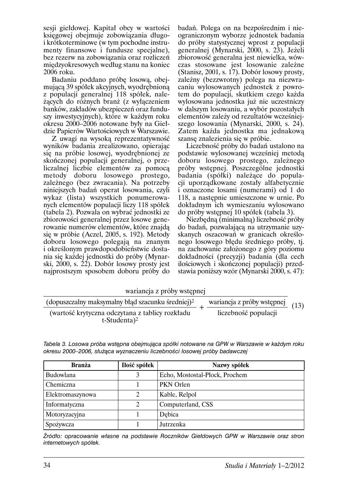sesii giełdowej. Kapitał obcy w wartości księgowej obejmuje zobowiazania długoi krótkoterminowe (w tym pochodne instrumenty finansowe i fundusze specjalne), bez rezerw na zobowiązania oraz rozliczeń międzyokresowych według stanu na koniec 2006 roku.

Badaniu poddano próbę losową, obejmujaca 39 spółek akcyjnych, wyodrębniona z populacji generalnej 118 spółek, należących do różnych branz (z wyłączeniem banków, zakładów ubezpieczeń oraz funduszy inwestycyjnych), które w każdym roku okresu 2000–2006 notowane byly na Giełdzie Papierów Wartościowych w Warszawie.

Z uwagi na wysoka reprezentatywność wyników badania zrealizowano, opierając się na próbie losowej, wyodrębnionej ze skończonej populacji generalnej, o przeliczalnej liczbie elementów za pomocą metody doboru losowego prostego, zależnego (bez zwracania). Na potrzeby niniejszych badań operat losowania, czyli wykaz (lista) wszystkich ponumerowanych elementów populacji liczy 118 spółek (tabela 2). Pozwala on wybrać jednostki ze zbiorowości generalnej przez losowe generowanie numerów elementów, które znajdą się w próbie (Aczel, 2005, s. 192). Metody doboru losowego polegają na znanym i określonym prawdopodobieństwie dostania się każdej jednostki do próby (Mynarski, 2000, s. 22). Dobór losowy prosty jest najprostszym sposobem doboru próby do

badań. Polega on na bezpośrednim i nieograniczonym wyborze jednostek badania do próby statystycznej wprost z populacji<br>generalnej (Mynarski, 2000, s. 23). Jeżeli zbiorowość generalna jest niewielka, wówczas stosowane jest losowanie zależne (Stanisz, 2001, s. 17). Dobór losowy prosty, zależny (bezzwrotny) polega na niezwracaniu wylosowanych jednostek z powrotem do populacji, skutkiem czego każda wylosowana jednostka już nie uczestniczy w dalszym losowaniu, a wybór pozostałych elementów zależy od rezultatów wcześniejszego losowania (Mynarski, 2000, s. 24). Zatem każda jednostka ma jednakowa szanse znalezienia się w próbie.

Liczebność próby do badań ustalono na podstawie wylosowanej wcześniej metodą doboru losowego prostego, zależnego próby wstępnej. Poszczególne jednostki badania (spółki) należące do populacii uporządkowane zostały alfabetycznie i oznaczone losami (numerami) od 1 do 118, a nastepnie umieszczone w urnie. Po dokładnym ich wymieszaniu wylosowano do próby wstępnej 10 spółek (tabela 3).

Niezbędną (minimalną) liczebność próby do badań, pozwalającą na utrzymanie uzyskanych oszacowań w granicach określonego losowego błędu średniego próby, tj. na zachowanie założonego z góry poziomu dokładności (precyzji) badania (dla cech ilościowych i skończonej populacji) przedstawia poniższy wzór (Mynarski 2000, s. 47):

| wariancja z próby wstępnej                                    |                            |      |
|---------------------------------------------------------------|----------------------------|------|
| (dopuszczalny maksymalny błąd szacunku średniej) <sup>2</sup> | wariancja z próby wstępnej | (13) |
| (wartość krytyczna odczytana z tablicy rozkładu               | liczebność populacji       |      |
| $t$ -Studenta) <sup>2</sup>                                   |                            |      |

| <b>Branża</b>    | Ilość spółek | Nazwy spółek                   |
|------------------|--------------|--------------------------------|
| Budowlana        |              | Echo, Mostostal-Płock, Prochem |
| Chemiczna        |              | PKN Orlen                      |
| Elektromaszynowa |              | Kable, Relpol                  |
| Informatyczna    |              | Computerland, CSS              |
| Motoryzacyjna    |              | Debica                         |
| Spożywcza        |              | Jutrzenka                      |

Tabela 3. Losowa próba wstępna obejmująca spółki notowane na GPW w Warszawie w każdym roku okresu 2000-2006, służąca wyznaczeniu liczebności losowej próby badawczej

Źródło: opracowanie własne na podstawie Roczników Giełdowych GPW w Warszawie oraz stron internetowych spółek.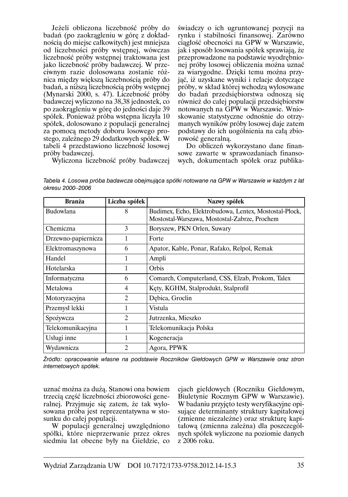Jeżeli obliczona liczebność próby do badań (po zaokragleniu w góre z dokładnościa do miejsc całkowitych) jest mniejsza od liczebności próby wstępnej, wówczas liczebność próby wstępnej traktowana jest jako liczebność próby badawczej. W przeciwnym razie dolosowana zostanie różnica między większą liczebnością próby do badań, a niższa liczebnościa próby wstepnej (Mynarski 2000, s. 47). Liczebność próby badawczej wyliczono na 38,38 jednostek, co po zaokrągleniu w górę do jedności daje 39 spółek. Ponieważ próba wstepna liczyła 10 spółek, dolosowano z populacji generalnej za pomoca metody doboru losowego prostego, zależnego 29 dodatkowych spółek. W tabeli 4 przedstawiono liczebność losowej próby badawczej.

świadczy o ich ugruntowanej pozycii na rynku i stabilności finansowej. Zarówno ciaglość obecności na GPW w Warszawie, jak i sposób losowania spółek sprawiają, że przeprowadzone na podstawie wyodrębnionej próby losowej obliczenia można uznać za wiarygodne. Dzięki temu można przyjąć, iż uzyskane wyniki i relacje dotyczące próby, w skład której wchodza wylosowane do badań przedsiębiorstwa odnoszą się również do całej populacji przedsiębiorstw notowanych na GPW w Warszawie. Wnioskowanie statystyczne odnośnie do otrzymanych wyników próby losowej daje zatem podstawy do ich uogólnienia na cała zbiorowość generalna.

Do obliczeń wykorzystano dane finansowe zawarte w sprawozdaniach finansowych, dokumentach spółek oraz publika-

Wyliczona liczebność próby badawczej

Tabela 4. Losowa próba badawcza obejmująca spółki notowane na GPW w Warszawie w każdym z lat okresu 2000-2006

| <b>Branża</b>       | Liczba spółek  | Nazwy spółek                                                                                            |  |
|---------------------|----------------|---------------------------------------------------------------------------------------------------------|--|
| Budowlana           | 8              | Budimex, Echo, Elektrobudowa, Lentex, Mostostal-Płock,<br>Mostostal-Warszawa, Mostostal-Zabrze, Prochem |  |
| Chemiczna           | 3              | Boryszew, PKN Orlen, Suwary                                                                             |  |
| Drzewno-papiernicza |                | Forte                                                                                                   |  |
| Elektromaszynowa    | 6              | Apator, Kable, Ponar, Rafako, Relpol, Remak                                                             |  |
| Handel              |                | Ampli                                                                                                   |  |
| Hotelarska          |                | Orbis                                                                                                   |  |
| Informatyczna       | 6              | Comarch, Computerland, CSS, Elzab, Prokom, Talex                                                        |  |
| Metalowa            | 4              | Kęty, KGHM, Stalprodukt, Stalprofil                                                                     |  |
| Motoryzacyjna       | $\mathfrak{D}$ | Debica, Groclin                                                                                         |  |
| Przemysł lekki      | 1              | Vistula                                                                                                 |  |
| Spożywcza           | $\mathfrak{D}$ | Jutrzenka, Mieszko                                                                                      |  |
| Telekomunikacyjna   |                | Telekomunikacja Polska                                                                                  |  |
| Usługi inne         |                | Kogeneracja                                                                                             |  |
| Wydawnicza          | 2              | Agora, PPWK                                                                                             |  |

Źródło: opracowanie własne na podstawie Roczników Giełdowych GPW w Warszawie oraz stron internetowych spółek.

uznać można za duża. Stanowi ona bowiem trzecią część liczebności zbiorowości generalnej. Przyjmuje się zatem, że tak wylosowana próba jest reprezentatywna w stosunku do całej populacji.

W populacji generalnej uwzględniono spółki, które nieprzerwanie przez okres siedmiu lat obecne były na Giełdzie, co ciach giełdowych (Roczniku Giełdowym, Biuletynie Rocznym GPW w Warszawie). W badaniu przyjęto testy weryfikacyjne opisujące determinanty struktury kapitałowej (zmienne niezależne) oraz strukturę kapitałową (zmienna zależna) dla poszczególnych spółek wyliczone na poziomie danych z 2006 roku.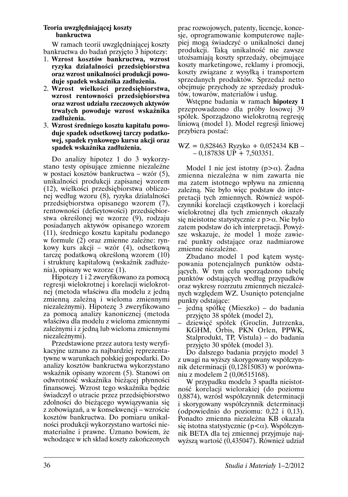#### Teoria uwzględniającej koszty **bankructwa**

W ramach teorii uwzględniającej koszty bankructwa do badań przyjęto 3 hipotezy:

- 1. Wzrost kosztów bankructwa, wzrost ryzyka działalności przedsiębiorstwa oraz wzrost unikalności produkcji powoduje spadek wskaźnika zadłużenia.
- 2. Wzrost wielkości przedsiębiorstwa, wzrost rentowności przedsiębiorstwa oraz wzrost udziału rzeczowych aktywów trwałych powoduje wzrost wskaźnika zadłużenia.
- 3. Wzrost średniego kosztu kapitału powoduje spadek odsetkowej tarczy podatkowej, spadek rynkowego kursu akcji oraz spadek wskaźnika zadłużenia.

Do analizy hipotez 1 do 3 wykorzystano testy opisujące zmienne niezależne w postaci kosztów bankructwa – wzór (5), unikalności produkcji zapisanej wzorem (12), wielkości przedsiębiorstwa obliczonej według wzoru (8), ryzyka działalności przedsiębiorstwa opisanego wzorem (7), rentowności (deficytowości) przedsiębiorstwa określonej we wzorze (9), rodzaju posiadanych aktywów opisanego wzorem (11), średniego kosztu kapitału podanego w formule (2) oraz zmienne zależne: rynkowy kurs akcji – wzór (4), odsetkową tarczę podatkową określoną wzorem (10) i strukturę kapitałową (wskaźnik zadłużenia), opisany we wzorze  $(1)$ .

Hipotezy 1 i 2 zweryfikowano za pomocą regresji wielokrotnej i korelacji wielokrotnej (metoda właściwa dla modelu z jedną zmienną zależną i wieloma zmiennymi niezależnymi). Hipotezę 3 zweryfikowano za pomocą analizy kanonicznej (metoda właściwa dla modelu z wieloma zmiennymi zależnymi i z jedną lub wieloma zmiennymi niezależnymi).

Przedstawione przez autora testy weryfikacyjne uznano za najbardziej reprezentatywne w warunkach polskiej gospodarki. Do analizy kosztów bankructwa wykorzystano wskaźnik opisany wzorem (5). Stanowi on odwrotność wskaźnika bieżącej płynności finansowej. Wzrost tego wskaźnika będzie świadczył o utracie przez przedsiębiorstwo zdolności do bieżącego wywiązywania się z zobowiązań, a w konsekwencji – wzroście kosztów bankructwa. Do pomiaru unikalności produkcji wykorzystano wartości niematerialne i prawne. Uznano bowiem, że wchodzące w ich skład koszty zakończonych

prac rozwojowych, patenty, licencie, koncesie, oprogramowanie komputerowe najlepiej mogą świadczyć o unikalności danej produkcji. Taką unikalność nie zawsze utożsamiają koszty sprzedaży, obejmujące koszty marketingowe, reklamy i promocji, koszty związane z wysyłka i transportem sprzedanych produktów. Sprzedaż netto obejmuje przychody ze sprzedaży produktów, towarów, materiałów i usług.

Wstępne badania w ramach hipotezy 1 przeprowadzono dla próby losowej 39 spółek. Sporządzono wielokrotna regresie liniowa (model 1). Model regresii liniowej przybiera postać:

 $WZ = 0,828463$  Ryzyko + 0,052434 KB - $-0,187838$  UP + 7,503351.

Model 1 nie jest istotny ( $p > \alpha$ ). Żadna zmienna niezależna w nim zawarta nie ma zatem istotnego wpływu na zmienna zależną. Nie było więc podstaw do interpretacji tych zmiennych. Również współczynniki korelacji czastkowych i korelacji wielokrotnej dla tych zmiennych okazały się nieistotne statystycznie z  $p > \alpha$ . Nie było zatem podstaw do ich interpretacji. Powyższe wskazuje, że model 1 może zawierać punkty odstające oraz nadmiarowe zmienne niezależne.

Zbadano model 1 pod katem występowania potencjalnych punktów odstajacych. W tym celu sporządzono tabelę punktów odstających według przypadków oraz wykresy rozrzutu zmiennych niezależnych względem WZ. Usunięto potencjalne punkty odstające:

- jedną spółkę (Mieszko) do badania przyjęto 38 spółek (model 2),
- dziewięć spółek (Groclin, Jutrzenka, KGHM, Orbis, PKN Orlen, PPWK, Stalprodukt, TP, Vistula) - do badania przyjęto 30 spółek (model 3).

Do dalszego badania przyjęto model 3 z uwagi na wyższy skorygowany współczynnik determinacji (0,12815083) w porównaniu z modelem 2 (0,06515168).

W przypadku modelu 3 spadła nieistotność korelacji wielorakiej (do poziomu 0,8874), wzrósł współczynnik determinacji i skorygowany współczynnik determinacji (odpowiednio do poziomu:  $0,22$  i  $0,13$ ). Ponadto zmienna niezależna KB okazała się istotna statystycznie ( $p < \alpha$ ). Współczynnik BETA dla tej zmiennej przyjmuje najwyższą wartość (0,435047). Również udział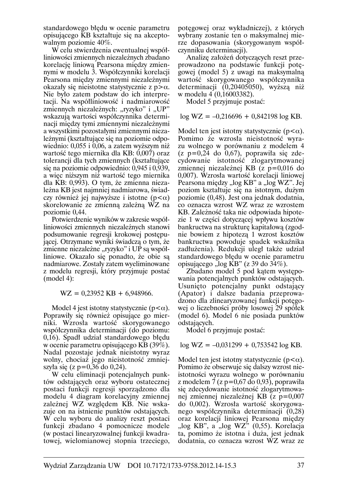standardowego błedu w ocenie parametru opisującego KB kształtuje się na akceptowalnym poziomie 40%.

W celu stwierdzenia ewentualnej współliniowości zmiennych niezależnych zbadano korelację liniową Pearsona między zmiennymi w modelu 3. Współczynniki korelacji Pearsona między zmiennymi niezależnymi okazały się nieistotne statystycznie z  $p > \alpha$ . Nie było zatem podstaw do ich interpretacji. Na współliniowość i nadmiarowość zmiennych niezależnych: "ryzyko" i "UP" wskazuja wartości współczynnika determinacii miedzy tymi zmiennymi niezależnymi a wszystkimi pozostałymi zmiennymi niezależnymi (kształtujące się na poziomie odpowiednio: 0,055 i 0,06, a zatem wyższym niż wartość tego miernika dla KB: 0,007) oraz tolerancji dla tych zmiennych (kształtujące się na poziomie odpowiednio: 0,945 i 0,939, a więc niższym niż wartość tego miernika dla KB: 0,993). O tym, że zmienna niezależna KB jest najmniej nadmiarowa, świadczy również jej najwyższe i istotne ( $p < \alpha$ ) skorelowanie ze zmienną zależną WZ na poziomie 0,44.

Potwierdzenie wyników w zakresie współliniowości zmiennych niezależnych stanowi podsumowanie regresji krokowej postępującej. Otrzymane wyniki świadczą o tym, że zmienne niezależne "ryzyko" i UP są współliniowe. Okazało się ponadto, że obie są nadmiarowe. Zostały zatem wyeliminowane z modelu regresji, który przyjmuje postać  $(mod 4):$ 

 $WZ = 0.23952$  KB + 6.948966.

Model 4 jest istotny statystycznie ( $p < \alpha$ ). Poprawiły się również opisujące go mierniki. Wzrosła wartość skorygowanego współczynnika determinacji (do poziomu: 0,16). Spadł udział standardowego błędu w ocenie parametru opisującego KB (39%). Nadal pozostaje jednak nieistotny wyraz wolny, chociaż jego nieistotność zmniejszyła się (z p= $0,36$  do  $0,24$ ).

W celu eliminacji potencjalnych punktów odstających oraz wyboru ostatecznej postaci funkcji regresji sporządzono dla modelu 4 diagram korelacyjny zmiennej zależnej WZ względem KB. Nie wskazuje on na istnienie punktów odstających. W celu wyboru do analizy reszt postaci funkcji zbadano 4 pomocnicze modele (w postaci linearyzowalnej funkcji kwadratowej, wielomianowej stopnia trzeciego,

potegowej oraz wykładniczej), z których wybrany zostanie ten o maksymalnej mierze dopasowania (skorygowanym współczynniku determinacji).

Analize założeń dotyczących reszt przeprowadzono na podstawie funkcji potęgowej (model 5) z uwagi na maksymalną wartość skorygowanego współczynnika determinacji (0,20405050), wyższa niż w modelu 4 (0,16003382).

Model 5 przyjmuje postać:

 $log$  WZ = -0,216696 + 0,842198  $log$  KB.

Model ten jest istotny statystycznie ( $p < \alpha$ ). Pomimo że wzrosła nieistotność wyrazu wolnego w porównaniu z modelem 4  $(z p=0.24$  do 0.67), poprawiła się zdecydowanie istotność zlogarytmowanej zmiennej niezależnej KB  $(z p=0,016 d\sigma)$ 0,007). Wzrosła wartość korelacji liniowej Pearsona między "log KB" a "log WZ". Jej poziom kształtuje się na istotnym, dużym poziomie (0,48). Jest ona jednak dodatnia, co oznacza wzrost WZ wraz ze wzrostem KB. Zależność taka nie odpowiada hipotezie 1 w części dotyczącej wpływu kosztów bankructwa na strukture kapitałowa (zgodnie bowiem z hipotezą 1 wzrost kosztów bankructwa powoduje spadek wskaźnika zadłużenia). Redukcji uległ także udział standardowego błędu w ocenie parametru opisującego "log KB" (z 39 do  $34\%$ ).

Zbadano model 5 pod kątem występowania potencjalnych punktów odstających. Usunieto potencialny punkt odstający (Apator) i dalsze badania przeprowadzono dla zlinearyzowanej funkcji potegowej o liczebności próby losowej 29 spółek (model 6). Model 6 nie posiada punktów odstających.

Model 6 przyjmuje postać:

 $log$  WZ = -0,031299 + 0,753542  $log$  KB.

Model ten jest istotny statystycznie ( $p < \alpha$ ). Pomimo że obserwuje się dalszy wzrost nieistotności wyrazu wolnego w porównaniu z modelem 7 (z p=0,67 do 0,93), poprawiła się zdecydowanie istotność zlogarytmowanej zmiennej niezależnej KB  $(z p=0.007)$ do 0,002). Wzrosła wartość skorygowanego współczynnika determinacji (0,28) oraz korelacji liniowej Pearsona między "log KB", a "log WZ" (0,55). Korelacja ta, pomimo że istotna i duża, jest jednak dodatnia, co oznacza wzrost WZ wraz ze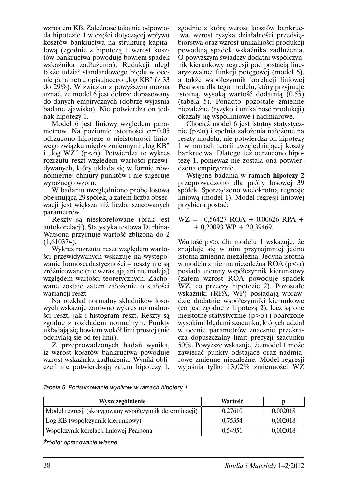wzrostem KB. Zależność taka nie odpowiada hipotezie 1 w części dotyczącej wpływu kosztów bankructwa na strukture kapitałową (zgodnie z hipotezą 1 wzrost kosztów bankructwa powoduje bowiem spadek wskaźnika zadłużenia). Redukcji uległ także udział standardowego błedu w ocenie parametru opisującego "log KB" (z 33 do 29%). W związku z powyższym można uznać, że model 6 jest dobrze dopasowany do danych empirycznych (dobrze wyjaśnia badane zjawisko). Nie potwierdza on jednak hipotezy 1.

Model 6 jest liniowy względem parametrów. Na poziomie istotności  $\alpha$ =0.05 odrzucono hipotezę o nieistotności liniowego związku między zmiennymi "log KB" i "log WZ" ( $p < \alpha$ ). Potwierdza to wykres rozrzutu reszt względem wartości przewidywanych, który układa się w formie równomiernej chmury punktów i nie sugeruje wyraźnego wzoru.

W badaniu uwzględniono próbę losową obejmującą 29 spółek, a zatem liczba obserwacji jest większa niż liczba szacowanych parametrów.

Reszty są nieskorelowane (brak jest autokorelacji). Statystyka testowa Durbina-Watsona przyjmuje wartość zbliżoną do 2  $(1,610374)$ .

Wykres rozrzutu reszt względem wartości przewidywanych wskazuje na występowanie homoscedastyczności – reszty nie są zróżnicowane (nie wzrastają ani nie maleją) względem wartości teoretycznych. Zachowane zostaje zatem założenie o stałości wariancji reszt.

Na rozkład normalny składników losowych wskazuje zarówno wykres normalności reszt, jak i histogram reszt. Reszty są zgodne z rozkładem normalnym. Punkty układają się bowiem wokół linii prostej (nie odchylają się od tej linii).

Z przeprowadzonych badań wynika, iż wzrost kosztów bankructwa powoduje wzrost wskaźnika zadłużenia. Wyniki obliczeń nie potwierdzają zatem hipotezy 1, zgodnie z która wzrost kosztów bankructwa, wzrost ryzyka działalności przedsiębiorstwa oraz wzrost unikalności produkcji powodują spadek wskaźnika zadłużenia. O powyższym świadczy dodatni współczynnik kierunkowy regresji pod postacia linearyzowalnej funkcji potęgowej (model 6), a także współczynnik korelacji liniowej Pearsona dla tego modelu, który przyjmuje istotna, wysoką wartość dodatnia (0,55) (tabela 5). Ponadto pozostałe zmienne niezależne (ryzyko i unikalność produkcji) okazały się współliniowe i nadmiarowe.

Chociaz model 6 jest istotny statystycznie ( $p<\alpha$ ) i spełnia założenia nałożone na reszty modelu, nie potwierdza on hipotezy 1 w ramach teorii uwzględniającej koszty bankructwa. Dlatego też odrzucono hipoteze 1, ponieważ nie została ona potwierdzona empirycznie.

Wstępne badania w ramach hipotezy 2 przeprowadzono dla próby losowej 39 spółek. Sporządzono wielokrotną regresję liniowa (model 1). Model regresji liniowej przybiera postać:

#### $WZ = -0.56427 \text{ ROA} + 0.00626 \text{ RPA} +$  $+$  0,20093 WP + 20,39469.

Wartość  $p < \alpha$  dla modelu 1 wskazuje, że znajduje się w nim przynajmniej jedna istotna zmienna niezależna. Jedyna istotna w modelu zmienna niezależna ROA ( $p < \alpha$ ) posiada ujemny współczynnik kierunkowy (zatem wzrost RÓA powoduje spadek WZ, co przeczy hipotezie 2). Pozostałe wskaźniki (RPA, WP) posiadają wprawdzie dodatnie współczynniki kierunkowe (co jest zgodne z hipoteza 2), lecz są one nieistotne statystycznie ( $p > \alpha$ ) i obarczone wysokimi błędami szacunku, których udział w ocenie parametrów znacznie przekracza dopuszczalny limit precyzji szacunku 50%. Powyższe wskazuje, że model 1 może zawierać punkty odstające oraz nadmiarowe zmienne niezależne. Model regresji wyjaśnia tylko 13,02% zmienności WZ

Tabela 5. Podsumowanie wyników w ramach hipotezy 1

| Wyszczególnienie                                       | Wartość |          |
|--------------------------------------------------------|---------|----------|
| Model regresji (skorygowany współczynnik determinacji) | 0,27610 | 0,002018 |
| Log KB (współczynnik kierunkowy)                       | 0.75354 | 0,002018 |
| Współczynik korelacji liniowej Pearsona                | 0.54951 | 0,002018 |

Źródło: opracowanie własne.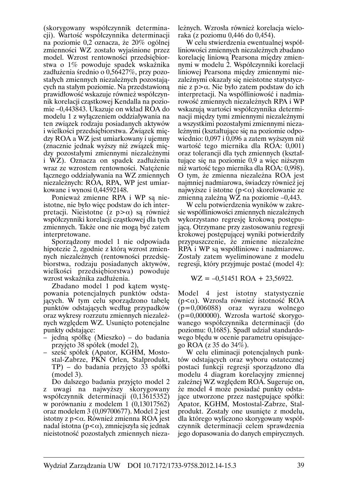(skorvgowany współczynnik determinacji). Wartość współczynnika determinacji na poziomie 0,2 oznacza, że 20% ogólnej zmienności WZ zostało wyjaśnione przez model. Wzrost rentowności przedsiębiorstwa o 1% powoduje spadek wskaźnika zadłużenia średnio o 0,56427%, przy pozostałych zmiennych niezależnych pozostających na stałym poziomie. Na przedstawiona prawidłowość wskazuje również współczynnik korelacji cząstkowej Kendalla na poziomie -0,443843. Ukazuje on wkład ROA do modelu 1 z wyłaczeniem oddziaływania na ten związek rodzaju posiadanych aktywów i wielkości przedsiębiorstwa. Związek miedzy ROA a WZ jest umiarkowany i ujemny (znacznie jednak wyższy niż związek między pozostałymi zmiennymi niezależnymi i WZ). Oznacza on spadek zadłużenia wraz ze wzrostem rentowności. Natężenie łącznego oddziaływania na WZ zmiennych niezależnych: ROA, RPA, WP jest umiarkowane i wynosi 0,44592148.

Ponieważ zmienne RPA i WP sa nieistotne, nie było więc podstaw do ich interpretacji. Nieistotne (z  $p > \alpha$ ) są również współczynniki korelacji cząstkowej dla tych zmiennych. Także one nie mogą być zatem interpretowane.

Sporządzony model 1 nie odpowiada hipotezie 2, zgodnie z którą wzrost zmiennych niezależnych (rentowności przedsiębiorstwa, rodzaju posiadanych aktywów, wielkości przedsiębiorstwa) powoduje wzrost wskaźnika zadłużenia.

Zbadano model 1 pod katem występowania potencjalnych punktów odstających. W tym celu sporządzono tabelę punktów odstających według przypadków oraz wykresy rozrzutu zmiennych niezależnych względem WZ. Usunięto potencjalne punkty odstające:

- jedną spółkę (Mieszko) do badania przyjęto 38 spółek (model 2),
- sześć spółek (Apator, KGHM, Mostostal-Zabrze, PKN Orlen, Stalprodukt, TP) – do badania przyjęto 33 spółki  $(mod 3).$

Do dalszego badania przyjęto model 2 z uwagi na najwyższy skorygowany współczynnik determinacji (0,13615352) w porównaniu z modelem 1 (0,13017562) oraz modelem 3 (0,09700677). Model 2 jest istotny z  $p<\alpha$ . Również zmienna ROA jest nadal istotna ( $p<\alpha$ ), zmniejszyła się jednak nieistotność pozostałych zmiennych niezależnych. Wzrosła również korelacja wieloraka (z poziomu 0,446 do 0,454).

W celu stwierdzenia ewentualnej współliniowości zmiennych niezależnych zbadano korelację liniową Pearsona między zmiennymi w modelu 2. Współczynniki korelacji liniowej Pearsona między zmiennymi niezależnymi okazały się nieistotne statystycznie z  $p > \alpha$ . Nie było zatem podstaw do ich interpretacji. Na współliniowość i nadmiarowość zmiennych niezależnych RPA i WP wskazują wartości współczynnika determinacji miedzy tymi zmiennymi niezależnymi a wszystkimi pozostałymi zmiennymi niezależnymi (kształtujące się na poziomie odpowiednio: 0,097 i 0,096 a zatem wyższym niż wartość tego miernika dla ROA: 0,001) oraz tolerancji dla tych zmiennych (kształtujące się na poziomie 0,9 a więc niższym niż wartość tego miernika dla ROA: 0,998). O tym, że zmienna niezależna ROA jest najmniej nadmiarowa, świadczy również jej najwyższe i istotne ( $p < \alpha$ ) skorelowanie ze zmienną zależną WZ na poziomie  $-0,443$ .

W celu potwierdzenia wyników w zakresie współliniowości zmiennych niezależnych wykorzystano regresję krokową postępującą. Otrzymane przy zastosowaniu regresji krokowej postępującej wyniki potwierdziły przypuszczenie, że zmienne niezależne RPA i WP są współliniowe i nadmiarowe. Zostały zatem wyeliminowane z modelu regresji, który przyjmuje postać (model 4):

#### $WZ = -0.51451 \text{ ROA} + 23.56922.$

Model 4 jest istotny statystycznie  $(p<\alpha)$ . Wzrosła również istotność ROA  $(p=0,006088)$  oraz wyrazu wolnego  $(p=0,000000)$ . Wzrosła wartość skorygowanego współczynnika determinacji (do poziomu: 0,1685). Spadł udział standardowego błędu w ocenie parametru opisującego ROA (z 35 do 34%).

W celu eliminacji potencjalnych punktów odstających oraz wyboru ostatecznej postaci funkcji regresji sporządzono dla modelu 4 diagram korelacyjny zmiennej zależnej WZ względem ROA. Sugeruje on, że model 4 może posiadać punkty odstające utworzone przez następujące spółki: Apator, KGHM, Mostostal-Zabrze, Stalprodukt. Zostały one usunięte z modelu, dla którego wyliczono skorygowany współczynnik determinacji celem sprawdzenia jego dopasowania do danych empirycznych.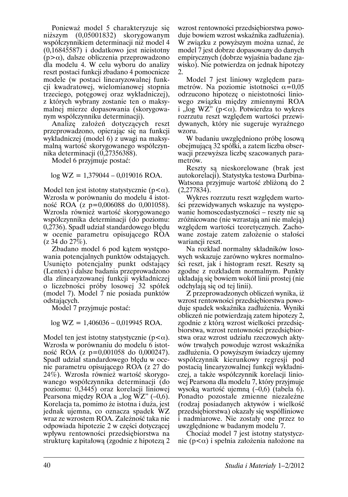Ponieważ model 5 charakteryzuje sie niższym (0,05001832) skorygowanym współczynnikiem determinacji niż model 4  $(0,16845587)$  i dodatkowo jest nieistotny  $(p>\alpha)$ , dalsze obliczenia przeprowadzono dla modelu 4. W celu wyboru do analizy reszt postaci funkcji zbadano 4 pomocnicze modele (w postaci linearyzowalnej funkcii kwadratowej, wielomianowej stopnia trzeciego, potęgowej oraz wykładniczej), z których wybrany zostanie ten o maksymalnej mierze dopasowania (skorygowanym współczynniku determinacji).

Analize założeń dotyczących reszt przeprowadzono, opierając się na funkcji wykładniczej (model 6) z uwagi na maksymalną wartość skorygowanego współczynnika determinacji (0,27356388).

Model 6 przyjmuje postać:

 $log$  WZ = 1,379044 – 0,019016 ROA.

Model ten jest istotny statystycznie ( $p < \alpha$ ). Wzrosła w porównaniu do modelu 4 istotność ROA (z p=0,006088 do 0,001058). Wzrosła również wartość skorygowanego współczynnika determinacji (do poziomu: 0,2736). Spadł udział standardowego błedu w ocenie parametru opisującego ROA  $(z 34$  do  $27\%)$ .

Zbadano model 6 pod katem wystepowania potencjalnych punktów odstających. Usunięto potencjalny punkt odstający (Lentex) i dalsze badania przeprowadzono dla zlinearyzowanej funkcji wykładniczej o liczebności próby losowej 32 spółek (model 7). Model 7 nie posiada punktów odstających.

Model 7 przyjmuje postać:

 $log$  WZ = 1,406036 - 0,019945 ROA.

Model ten jest istotny statystycznie ( $p < \alpha$ ). Wzrosła w porównaniu do modelu 6 istotność ROA (z p=0,001058 do 0,000247). Spadł udział standardowego błędu w ocenie parametru opisującego ROA (z 27 do 24%). Wzrosła również wartość skorygowanego współczynnika determinacji (do poziomu: 0,3445) oraz korelacji liniowej Pearsona między ROA a "log WZ"  $(-0.6)$ . Korelacja ta, pomimo że istotna i duża, jest jednak ujemna, co oznacza spadek WZ wraz ze wzrostem ROA. Zależność taka nie odpowiada hipotezie 2 w części dotyczącej wpływu rentowności przedsiębiorstwa na strukturę kapitałową (zgodnie z hipotezą 2

wzrost rentowności przedsiebiorstwa powoduje bowiem wzrost wskaźnika zadłużenia). W związku z powyższym można uznać, że model 7 jest dobrze dopasowany do danych empirycznych (dobrze wyjaśnia badane zjawisko). Nie potwierdza on jednak hipotezy 2.

Model 7 jest liniowy względem parametrów. Na poziomie istotności  $\alpha$ =0.05 odrzucono hipoteze o nieistotności liniowego związku między zmiennymi ROA i "log WZ" ( $p < \alpha$ ). Potwierdza to wykres rozrzutu reszt względem wartości przewidywanych, który nie sugeruje wyraźnego wzoru.

W badaniu uwzględniono próbę losowa obejmującą 32 spółki, a zatem liczba obserwacji przewyższa liczbę szacowanych parametrów.

Reszty są nieskorelowane (brak jest autokorelacji). Statystyka testowa Durbina-Watsona przyjmuje wartość zbliżoną do 2  $(2.277834).$ 

Wykres rozrzutu reszt względem wartości przewidywanych wskazuje na występowanie homoscedastyczności – reszty nie są zróżnicowane (nie wzrastają ani nie maleją) względem wartości teoretycznych. Zachowane zostaje zatem założenie o stałości wariancji reszt.

Na rozkład normalny składników losowych wskazuje zarówno wykres normalności reszt, jak i histogram reszt. Reszty są zgodne z rozkładem normalnym. Punkty układają się bowiem wokół linii prostej (nie odchylają się od tej linii).

Z przeprowadzonych obliczeń wynika, iż wzrost rentowności przedsiębiorstwa powoduje spadek wskaźnika zadłużenia. Wyniki obliczeń nie potwierdzają zatem hipotezy 2, zgodnie z którą wzrost wielkości przedsiębiorstwa, wzrost rentowności przedsiębiorstwa oraz wzrost udziału rzeczowych aktywów trwałych powoduje wzrost wskaźnika zadłużenia. O powyższym świadczy ujemny współczynnik kierunkowy regresji pod postacią linearyzowalnej funkcji wykładniczej, a także współczynnik korelacji liniowej Pearsona dla modelu 7, który przyjmuje wysoką wartość ujemną  $(-0,6)$  (tabela 6). Ponadto pozostałe zmienne niezależne (rodzaj posiadanych aktywów i wielkość przedsiębiorstwa) okazały się współliniowe i nadmiarowe. Nie zostały one przez to uwzględnione w badanym modelu 7.

Chociaż model 7 jest istotny statystycznie ( $p<\alpha$ ) i spełnia założenia nałożone na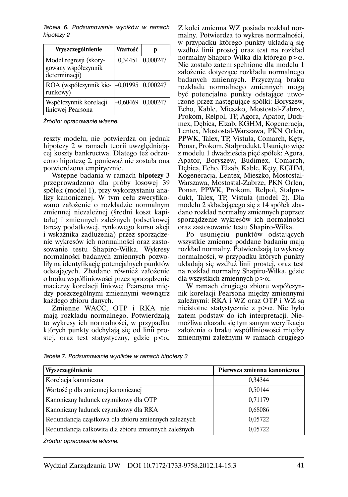Tabela 6. Podsumowanie wyników w ramach hipotezy 2

| Wyszczególnienie                                               | Wartość    | p        |
|----------------------------------------------------------------|------------|----------|
| Model regresji (skory-<br>gowany współczynnik<br>determinacji) | 0,34451    | 0,000247 |
| ROA (współczynnik kie-<br>runkowy)                             | $-0.01995$ | 0,000247 |
| Współczynnik korelacji<br>liniowej Pearsona                    | -0,60469   | 0,000247 |

Źródło: opracowanie własne.

reszty modelu, nie potwierdza on jednak hipotezy 2 w ramach teorii uwzględniającej koszty bankructwa. Dlatego też odrzucono hipotezę 2, ponieważ nie została ona potwierdzona empirycznie.

Wstępne badania w ramach hipotezy 3 przeprowadzono dla próby losowej 39 spółek (model 1), przy wykorzystaniu analizy kanonicznej. W tym celu zweryfikowano założenie o rozkładzie normalnym zmiennej niezależnej (średni koszt kapitału) i zmiennych zależnych (odsetkowej tarczy podatkowej, rynkowego kursu akcji i wskaźnika zadłużenia) przez sporządzenie wykresów ich normalności oraz zastosowanie testu Shapiro-Wilka. Wykresy normalności badanych zmiennych pozwoliły na identyfikację potencjalnych punktów odstających. Zbadano również założenie o braku współliniowości przez sporządzenie macierzy korelacji liniowej Pearsona między poszczególnymi zmiennymi wewnątrz każdego zbioru danych.

Zmienne WACC, OTP i RKA nie mają rozkładu normalnego. Potwierdzają to wykresy ich normalności, w przypadku których punkty odchylają się od linii prostej, oraz test statystyczny, gdzie  $p < \alpha$ .

Z kolei zmienna WZ posiada rozkład normalny. Potwierdza to wykres normalności, w przypadku którego punkty układają się wzdłuż linii prostej oraz test na rozkład normalny Shapiro-Wilka dla którego  $p > \alpha$ . Nie zostało zatem spełnione dla modelu 1 założenie dotyczące rozkładu normalnego badanych zmiennych. Przyczyną braku rozkładu normalnego zmiennych moga być potencjalne punkty odstające utworzone przez następujące spółki: Boryszew, Echo, Kable, Mieszko, Mostostal-Zabrze, Prokom, Relpol, TP, Agora, Apator, Budimex, Debica, Elzab, KGHM, Kogeneracja, Lentex, Mostostal-Warszawa, PKN Orlen, PPWK, Talex, TP, Vistula, Comarch, Kęty, Ponar, Prokom, Stalprodukt. Usunięto więc z modelu 1 dwadzieścia pięć spółek: Agora, Apator, Boryszew, Budimex, Comarch, Dębica, Echo, Elzab, Kable, Kęty, KGHM, Kogeneracja, Lentex, Mieszko, Mostostal-Warszawa, Mostostal-Zabrze, PKN Orlen, Ponar, PPWK, Prokom, Relpol, Stalprodukt, Talex, TP, Vistula (model 2). Dla modelu 2 składającego się z 14 spółek zbadano rozkład normalny zmiennych poprzez sporządzenie wykresów ich normalności oraz zastosowanie testu Shapiro-Wilka.

Po usunięciu punktów odstających wszystkie zmienne poddane badaniu mają rozkład normalny. Potwierdzają to wykresy normalności, w przypadku których punkty układają się wzdłuż linii prostej, oraz test na rozkład normalny Shapiro-Wilka, gdzie dla wszystkich zmiennych  $p > \alpha$ .

W ramach drugiego zbioru współczynnik korelacji Pearsona między zmiennymi zależnymi: RKA i WZ oraz OTP i WZ są nieistotne statystycznie z  $p > \alpha$ . Nie było zatem podstaw do ich interpretacji. Niemożliwa okazała się tym samym weryfikacja założenia o braku współliniowości między zmiennymi zależnymi w ramach drugiego

| Wyszczególnienie                                     | Pierwsza zmienna kanoniczna |
|------------------------------------------------------|-----------------------------|
| Korelacja kanoniczna                                 | 0.34344                     |
| Wartość p dla zmiennej kanonicznej                   | 0,50144                     |
| Kanoniczny ładunek czynnikowy dla OTP                | 0,71179                     |
| Kanoniczny ładunek czynnikowy dla RKA                | 0,68086                     |
| Redundancja cząstkowa dla zbioru zmiennych zależnych | 0,05722                     |
| Redundancja całkowita dla zbioru zmiennych zależnych | 0,05722                     |

Tabela 7. Podsumowanie wyników w ramach hipotezy 3

Źródło: opracowanie własne.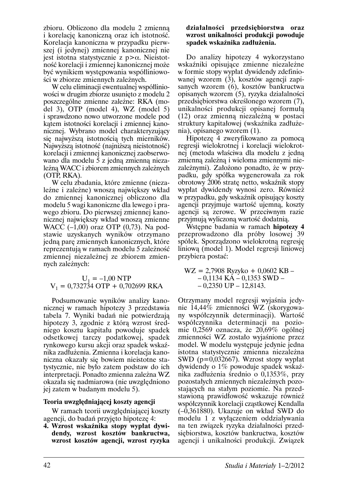zbioru. Obliczono dla modelu 2 zmienna i korelacje kanoniczna oraz ich istotność. Korelacja kanoniczna w przypadku pierwszej (i jedynej) zmiennej kanonicznej nie jest istotna statystycznie z  $p > \alpha$ . Nieistotność korelacji i zmiennej kanonicznej może być wynikiem występowania współliniowości w zbiorze zmiennych zależnych.

W celu eliminacji ewentualnej współliniowości w drugim zbiorze usunięto z modelu 2 poszczególne zmienne zależne: RKA (model 3),  $\overline{OTP}$  (model 4), WZ (model 5) i sprawdzono nowo utworzone modele pod katem istotności korelacji i zmiennej kanonicznej. Wybrano model charakteryzujący sie najwyższa istotnościa tych mierników. Najwyższą istotność (najniższą nieistotność) korelacji i zmiennej kanonicznej zaobserwowano dla modelu 5 z jedna zmienna niezależną WACC i zbiorem zmiennych zależnych  $(OTP, RKA).$ 

W celu zbadania, które zmienne (niezależne i zależne) wnoszą największy wkład do zmiennej kanonicznej obliczono dla modelu 5 wagi kanoniczne dla lewego i prawego zbioru. Do pierwszej zmiennej kanonicznej największy wkład wnoszą zmienne WACC  $(-1,00)$  oraz OTP  $(0,73)$ . Na podstawie uzyskánych wyników otrzymano jedną parę zmiennych kanonicznych, które reprezentuja w ramach modelu 5 zależność zmiennej niezależnej ze zbiorem zmiennych zależnych:

#### $U_1 = -1,00 NTP$  $V_1 = 0.732734$  OTP + 0.702699 RKA

Podsumowanie wyników analizy kanonicznej w ramach hipotezy 3 przedstawia tabela 7. Wyniki badań nie potwierdzają hipotezy 3, zgodnie z którą wzrost średniego kosztu kapitału powoduje spadek odsetkowej tarczy podatkowej, spadek rynkowego kursu akcji oraz spadek wskaźnika zadłużenia. Zmienna i korelacja kanoniczna okazały się bowiem nieistotne statystycznie, nie było zatem podstaw do ich interpretacji. Ponadto zmienna zależna WZ okazała się nadmiarowa (nie uwzględniono jej zatem w badanym modelu 5).

#### Teoria uwzględniającej koszty agencji

W ramach teorii uwzględniającej koszty agencji, do badań przyjęto hipotezę 4:

4. Wzrost wskaźnika stopy wypłat dywidendy, wzrost kosztów bankructwa, wzrost kosztów agencji, wzrost ryzyka

#### działalności przedsiębiorstwa oraz wzrost unikalności produkcji powoduje spadek wskaźnika zadłużenia.

Do analizy hipotezy 4 wykorzystano wskaźniki opisujące zmienne niezależne w formie stopy wypłat dywidendy zdefiniowanej wzorem (3), kosztów agencji zapisanych wzorem (6), kosztów bankructwa opisanych wzorem (5), ryzyka działalności przedsiębiorstwa określonego wzorem (7), unikalności produkcji opisanej formułą (12) oraz zmienną niezależną w postaci struktury kapitałowej (wskaźnika zadłużenia), opisanego wzorem (1).

Hipoteze 4 zweryfikowano za pomocą regresji wielokrotnej i korelacji wielokrotnej (metoda właściwa dla modelu z jedną zmienna zależna i wieloma zmiennymi niezależnymi). Założono ponadto, że w przypadku, gdy spółka wygenerowała za rok obrotowy 2006 strate netto, wskaźnik stopy wypłat dywidendy wynosi zero. Również w przypadku, gdy wskaźnik opisujący koszty agencii przyjmuje wartość ujemna, koszty agencji są zerowe. W przeciwnym razie przyjmują wyliczoną wartość dodatnią.

Wstepne badania w ramach hipotezy 4 przeprowadzono dla próby losowej 39 spółek. Sporządzono wielokrotną regresję liniowa (model 1). Model regresii liniowej przybiera postać:

 $WZ = 2,7908$  Ryzyko + 0,0602 KB - $-0,1134$  KA $-0,1353$  SWD $-0,2350$  UP  $-12,8143$ .

Otrzymany model regresji wyjaśnia jedynie 14,44% zmienności WZ (skorygowany współczynnik determinacji). Wartość współczynnika determinacji na poziomie 0,2569 oznacza, że 20,69% ogólnej zmienności WZ zostało wyjaśnione przez model. W modelu występuje jedynie jedna istotna statystycznie zmienna niezależna SWD ( $p=0.032667$ ). Wzrost stopy wypłat dywidendy o 1% powoduje spadek wskaźnika zadłużenia średnio o 0,1353%, przy pozostałych zmiennych niezależnych pozostaiacych na stałym poziomie. Na przedstawioną prawidłowość wskazuje również współczynnik korelacji cząstkowej Kendalla  $(-0,361880)$ . Ukazuje on wkład SWD do modelu 1 z wyłączeniem oddziaływania na ten związek ryzyka działalności przedsiębiorstwa, kosztów bankructwa, kosztów agencji i unikalności produkcji. Związek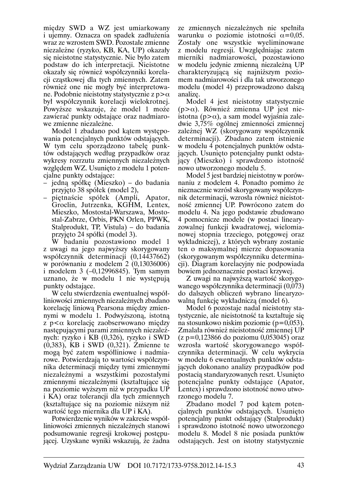miedzy SWD a WZ jest umiarkowany i ujemny. Oznacza on spadek zadłużenia wraz ze wzrostem SWD. Pozostałe zmienne niezależne (ryzyko, KB, KA, UP) okazały się nieistotne statystycznie. Nie było zatem podstaw do ich interpretacji. Nieistotne okazały się również współczynniki korelacji cząstkowej dla tych zmiennych. Zatem również one nie mogły być interpretowane. Podobnie nieistotny statystycznie z p $>\alpha$ był współczynnik korelacji wielokrotnej. Powyższe wskazuje, że model 1 może zawierać punkty odstające oraz nadmiarowe zmienne niezależne.

Model 1 zbadano pod katem wystepowania potencjalnych punktów odstających. W tym celu sporządzono tabelę punktów odstających według przypadków oraz wykresy rozrzutu zmiennych niezależnych względem WZ. Usunięto z modelu 1 potencialne punkty odstające:

- jedną spółkę (Mieszko) do badania przyjęto 38 spółek (model 2),
- piętnaście spółek (Ampli, Apator, Groclin, Jutrzenka, KGHM, Lentex, Mieszko, Mostostal-Warszawa, Mostostal-Zabrze, Orbis, PKN Orlen, PPWK, Stalprodukt, TP, Vistula) – do badania przyjęto 24 spółki (model 3).

W badaniu pozostawiono model 1 z uwagi na jego najwyższy skorygowany współczynnik determinacji (0,14437662) w porównaniu z modelem 2 (0,13036006) i modelem  $3$  (-0,12996845). Tym samym uznano, że w modelu 1 nie występują punkty odstające.

W celu stwierdzenia ewentualnej współliniowości zmiennych niezależnych zbadano korelację liniową Pearsona między zmiennymi w modelu 1. Podwyższoną, istotną z  $p < \alpha$  korelację zaobserwowano między następującymi parami zmiennych niezależnych: ryzyko i KB (0,326), ryzyko i SWD  $(0,383)$ , KB i SWD  $(0,321)$ . Zmienne te mogą być zatem współliniowe i nadmiarowe. Potwierdzają to wartości współczynnika determinacji między tymi zmiennymi niezależnymi a wszystkimi pozostałymi zmiennymi niezależnymi (kształtujące się na poziomie wyższym niż w przypadku UP i KA) oraz tolerancji dla tych zmiennych (kształtujące się na poziomie niższym niż wartość tego miernika dla UP i KA).

Potwierdzenie wyników w zakresie współliniowości zmiennych niezależnych stanowi podsumowanie regresji krokowej postępującej. Uzyskane wyniki wskazują, że żadna ze zmiennych niezależnych nie spełniła warunku o poziomie istotności  $\alpha$ =0.05. Zostały one wszystkie wyeliminowane z modelu regresji. Uwzględniając zatem mierniki nadmiarowości, pozostawiono w modelu jedynie zmienną niezależną UP charakteryzującą się najniższym poziomem nadmiarowości i dla tak utworzonego modelu (model 4) przeprowadzono dalsza analize.

Model 4 jest nieistotny statystycznie  $(p>\alpha)$ . Również zmienna UP jest nieistotna ( $p > \alpha$ ), a sam model wyjaśnia zaledwie 3,75% ogólnej zmienności zmiennej zależnej WZ (skorygowany współczynnik determinacii). Zbadano zatem istnienie w modelu 4 potencjalnych punktów odstających. Usunięto potencjalny punkt odstający (Mieszko) i sprawdzono istotność nowo utworzonego modelu 5.

Model 5 jest bardziej niejstotny w porównaniu z modelem 4. Ponadto pomimo że nieznacznie wzrósł skorygowany współczynnik determinacji, wzrosła również nieistotność zmiennej UP. Powrócono zatem do modelu 4. Na jego podstawie zbudowano 4 pomocnicze modele (w postaci linearyzowalnej funkcji kwadratowej, wielomianowej stopnia trzeciego, potęgowej oraz wykładniczej), z których wybrany zostanie ten o maksymalnej mierze dopasowania (skorygowanym współczynniku determinacji). Diagram korelacyjny nie podpowiada bowiem jednoznacznie postaci krzywej.

Z uwagi na najwyższą wartość skorygowanego współczynnika determinacji (0,073) do dalszych obliczeń wybrano linearyzowalną funkcję wykładniczą (model 6).

Model 6 pozostaje nadal nieistotny statystycznie, ale nieistotność ta kształtuje się na stosunkowo niskim poziomie ( $p=0.053$ ). Zmalała również nieistotność zmiennej UP  $(z p=0,123866$  do poziomu 0,053045) oraz wzrosła wartość skorygowanego współczynnika determinacji. W celu wykrycia w modelu 6 ewentualnych punktów odstających dokonano analizy przypadków pod postacią standaryzowanych reszt. Usunięto potencialne punkty odstające (Apator, Lentex) i sprawdzono istotność nowo utworzonego modelu 7.

Zbadano model 7 pod katem potencjalnych punktów odstających. Usunięto potencjalny punkt odstający (Stalprodukt) i sprawdzono istotność nowo utworzonego modelu 8. Model 8 nie posiada punktów odstających. Jest on istotny statystycznie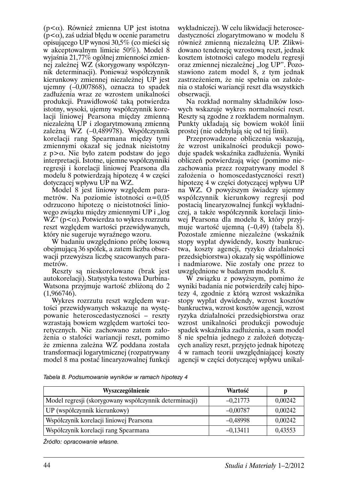$(p<\alpha)$ . Również zmienna UP jest istotna  $(p<\alpha)$ , zaś udział błedu w ocenie parametru opisującego UP wynosi 30,5% (co mieści się w akceptowalnym limicie 50%). Model 8 wyjaśnia 21,77% ogólnej zmienności zmiennej zależnej WZ (skorygowany współczynnik determinacji). Ponieważ współczynnik kierunkowy zmiennej niezależnej UP jest ujemny  $(-0.007868)$ , oznacza to spadek zadłużenia wraz ze wzrostem unikalności produkcji. Prawidłowość taką potwierdza istotny, wysoki, ujemny współczynnik korelacji liniowej Pearsona między zmienną niezależna UP i zlogarytmowana zmienna zależna  $\dot{W}Z$  (-0,489978). Współczynnik korelacji rang Spearmana miedzy tymi zmiennymi okazał się jednak nieistotny  $z$  p  $>\alpha$ . Nie było zatem podstaw do jego interpretacji. Istotne, ujemne współczynniki regresji i korelacji liniowej Pearsona dla modelu 8 potwierdzają hipotezę 4 w części dotyczącej wpływu UP na WZ.

Model 8 jest liniowy względem parametrów. Na poziomie istotności  $\alpha$ =0.05 odrzucono hipotezę o nieistotności liniowego związku między zmiennymi UP i "log  $WZ''(p<\alpha)$ . Potwierdza to wykres rozrzutu reszt względem wartości przewidywanych, który nie sugeruje wyraźnego wzoru.

W badaniu uwzględniono próbę losową obejmującą 36 spółek, a zatem liczba obserwacji przewyższa liczbę szacowanych parametrów.

Reszty są nieskorelowane (brak jest autokorelacji). Statystyka testowa Durbina-Watsona przyjmuje wartość zbliżoną do 2  $(1,966746).$ 

Wykres rozrzutu reszt względem wartości przewidywanych wskazuje na występowanie heteroscedastyczności – reszty wzrastają bowiem względem wartości teoretycznych. Nie zachowano zatem założenia o stałości wariancji reszt, pomimo że zmienna zależna WZ poddana została transformacji logarytmicznej (rozpatrywany model 8 ma postać linearyzowalnej funkcji

wykładniczej). W celu likwidacji heteroscedastyczności złogarytmowano w modelu 8 również zmienna niezależna UP. Zlikwidowano tendencję wzrostową reszt, jednak kosztem istotności całego modelu regresji oraz zmiennej niezależnej "log UP". Pozostawiono zatem model 8, z tym jednak zastrzeżeniem, że nie spełnia on założenia o stałości wariancji reszt dla wszystkich obserwacji.

Na rozkład normalny składników losowych wskazuje wykres normalności reszt. Reszty sa zgodne z rozkładem normalnym. Punkty układają się bowiem wokół linii prostej (nie odchylają się od tej linii).

Przeprowadzone obliczenia wskazuja, że wzrost unikalności produkcji powoduje spadek wskaźnika zadłużenia. Wyniki obliczeń potwierdzają więc (pomimo niezachowania przez rozpatrywany model 8 założenia o homoscedastyczności reszt) hipoteze 4 w części dotyczącej wpływu UP na WZ. O powyższym świadczy ujemny współczynnik kierunkowy regresji pod postacią linearyzowalnej funkcji wykładniczej, a także współczynnik korelacji liniowej Pearsona dla modelu 8, który przyjmuje wartość ujemną  $(-0,49)$  (tabela 8). Pozostałe zmienne niezależne (wskaźnik stopy wypłat dywidendy, koszty bankructwa, koszty agencji, ryzyko działalności przedsiębiorstwa) okazały się współliniowe i nadmiarowe. Nie zostały one przez to uwzględnione w badanym modelu 8.

W związku z powyższym, pomimo że wyniki badania nie potwierdziły całej hipotezy 4, zgodnie z którą wzrost wskaźnika stopy wypłat dywidendy, wzrost kosztów bankructwa, wzrost kosztów agencji, wzrost ryzyka działalności przedsiębiorstwa oraz wzrost unikalności produkcji powoduje spadek wskaźnika zadłużenia, a sam model 8 nie spełnia jednego z założeń dotyczących analizy reszt, przyjęto jednak hipotezę 4 w ramach teorii uwzględniającej koszty agencji w części dotyczącej wpływu unikal-

Tabela 8. Podsumowanie wyników w ramach hipotezy 4

| Wyszczególnienie                                       | Wartość    |         |
|--------------------------------------------------------|------------|---------|
| Model regresji (skorygowany współczynnik determinacji) | $-0,21773$ | 0,00242 |
| UP (współczynnik kierunkowy)                           | $-0.00787$ | 0,00242 |
| Współczynik korelacji liniowej Pearsona                | $-0,48998$ | 0,00242 |
| Współczynik korelacji rang Spearmana                   | $-0.13411$ | 0,43553 |

Źródło: opracowanie własne.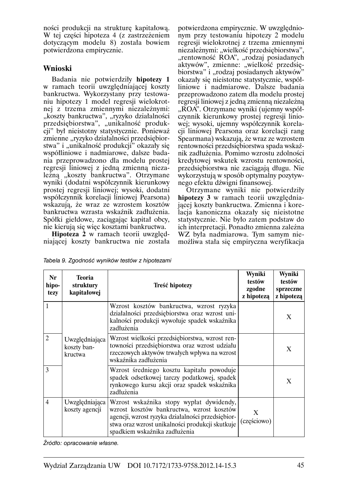ności produkcji na strukture kapitałowa. W tej części hipoteza 4 (z zastrzeżeniem dotyczącym modelu 8) została bowiem potwierdzona empirycznie.

## Wnioski

Badania nie potwierdziły hipotezy 1 w ramach teorii uwzględniającej koszty bankructwa. Wykorzystany przy testowaniu hipotezy 1 model regresii wielokrotnej z trzema zmiennymi niezależnymi: "koszty bankructwa", "ryzyko działalności przedsiębiorstwa", "unikalność produkcji" był nieistotny statystycznie. Ponieważ zmienne "ryzyko działalności przedsiębiorstwa" i "unikalność produkcji" okazały się współliniowe i nadmiarowe, dalsze badania przeprowadzono dla modelu prostej regresii liniowej z jedną zmienną niezależną "koszty bankructwa". Otrzymane wyniki (dodatni współczynnik kierunkowy prostej regresji liniowej; wysoki, dodatni współczynnik korelacji liniowej Pearsona) wskazuja, że wraz ze wzrostem kosztów bankructwa wzrasta wskaźnik zadłużenia. Spółki giełdowe, zaciągając kapitał obcy, nie kierują się wiec kosztami bankructwa.

Hipoteza 2 w ramach teorii uwzględniającej koszty bankructwa nie została

potwierdzona empirycznie. W uwzglednionym przy testowaniu hipotezy 2 modelu regresii wielokrotnej z trzema zmiennymi niezależnymi: "wielkość przedsiębiorstwa", "rentowność ROA", "rodzaj posiadanych áktywów", zmienne: "wielkość przedsię-<br>biorstwa" i "rodzaj posiadanych aktywów" okazały się nieistotne statystycznie, współliniowe i nadmiarowe. Dalsze badania przeprowadzono zatem dla modelu prostej regresii liniowej z jedną zmienną niezależną "ROA". Otrzymane wyniki (ujemny współczynnik kierunkowy prostej regresii liniowei: wysoki, ujemny współczynnik korelacii liniowej Pearsona oraz korelacji rang Spearmana) wskazują, że wraz ze wzrostem rentowności przedsiębiorstwa spada wskaźnik zadłużenia. Pomimo wzrostu zdolności kredytowej wskutek wzrostu rentowności, przedsiębiorstwa nie zaciągają długu. Nie wykorzystują w sposób optymalny pozytywnego efektu dźwigni finansowej.

Otrzymane wyniki nie potwierdziły hipotezy 3 w ramach teorii uwzględniającej koszty bankructwa. Zmienna i korelacja kanoniczna okazały się nieistotne statystycznie. Nie było zatem podstaw do ich interpretacji. Ponadto zmienna zależna WZ była nadmiarowa. Tym samym niemożliwa stała się empiryczna weryfikacja

Tabela 9. Zgodność wyników testów z hipotezami

| Nr<br>hipo-<br>tezy | <b>Teoria</b><br>struktury<br>kapitałowej | Treść hipotezy                                                                                                                                                                                                                 | Wyniki<br>testów<br>zgodne<br>z hipoteza | Wyniki<br>testów<br>sprzeczne<br>z hipoteza |
|---------------------|-------------------------------------------|--------------------------------------------------------------------------------------------------------------------------------------------------------------------------------------------------------------------------------|------------------------------------------|---------------------------------------------|
| 1                   |                                           | Wzrost kosztów bankructwa, wzrost ryzyka<br>działalności przedsiębiorstwa oraz wzrost uni-<br>kalności produkcji wywołuje spadek wskaźnika<br>zadłużenia                                                                       |                                          | X                                           |
| $\overline{c}$      | Uwzględniająca<br>koszty ban-<br>kructwa  | Wzrost wielkości przedsiębiorstwa, wzrost ren-<br>towności przedsiębiorstwa oraz wzrost udziału<br>rzeczowych aktywów trwałych wpływa na wzrost<br>wskaźnika zadłużenia                                                        |                                          | X                                           |
| 3                   |                                           | Wzrost średniego kosztu kapitału powoduje<br>spadek odsetkowej tarczy podatkowej, spadek<br>rynkowego kursu akcji oraz spadek wskaźnika<br>zadłużenia                                                                          |                                          | X                                           |
| $\overline{4}$      | Uwzględniająca<br>koszty agencji          | Wzrost wskaźnika stopy wypłat dywidendy,<br>wzrost kosztów bankructwa, wzrost kosztów<br>agencji, wzrost ryzyka działalności przedsiębior-<br>stwa oraz wzrost unikalności produkcji skutkuje<br>spadkiem wskaźnika zadłużenia | X<br>(częściowo)                         |                                             |

Źródło: opracowanie własne.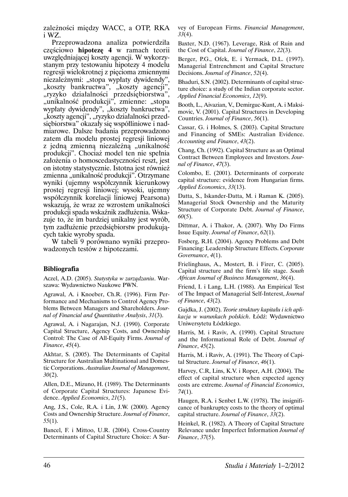zależności miedzy WACC, a OTP, RKA i WZ.

Przeprowadzona analiza potwierdziła częściowo hipotezę 4 w ramach teorii uwzględniającej koszty agencji. W wykorzystanym przy testowaniu hipotezy 4 modelu regresii wielokrotnej z piecioma zmiennymi niezależnymi: "stopa wypłaty dywidendy", "koszty bankructwa", "koszty agencii", "ryzyko działalności przedsiębiorstwa", "unikalność produkcji", zmienne: "stopa wypłaty dywidendy", "koszty bankructwa", "koszty agencji", "ryzyko działalności przedsiebiorstwa" okazały się współliniowe i nadmiarowe. Dalsze badania przeprowadzono zatem dla modelu prostej regresji liniowej z jedną zmienną niezależną "unikalność produkcji". Chociaż model ten nie spełnia założenia o homoscedastyczności reszt, jest on istotny statystycznie. Istotna jest również zmienna "unikalność produkcji". Otrzymane wyniki (ujemny współczynnik kierunkowy prostej regresji liniowej; wysoki, ujemny współczynnik korelacji liniowej Pearsona) wskazuja, że wraz ze wzrostem unikalności produkcji spada wskaźnik zadłużenia. Wskazuje to, że im bardziej unikalny jest wyrób, tym zadłużenie przedsiębiorstw produkujących takie wyroby spada.

W tabeli 9 porównano wyniki przeprowadzonych testów z hipotezami.

#### **Bibliografia**

Aczel, A.D. (2005). Statystyka w zarządzaniu. Warszawa: Wydawnictwo Naukowe PWN.

Agrawal, A. i Knoeber, Ch.R. (1996). Firm Performance and Mechanisms to Control Agency Problems Between Managers and Shareholders. Journal of Financial and Quantitative Analysis, 31(3).

Agrawal, A. i Nagarajan, N.J. (1990). Corporate Capital Structure, Agency Costs, and Ownership Control: The Case of All-Equity Firms. Journal of Finance, 45(4).

Akhtar, S. (2005). The Determinants of Capital Structure for Australian Multinational and Domestic Corporations. Australian Journal of Management,  $30(2)$ .

Allen, D.E., Mizuno, H. (1989). The Determinants of Corporate Capital Structures: Japanese Evidence. Applied Economics, 21(5).

Ang, J.S., Cole, R.A. i Lin, J.W. (2000). Agency Costs and Ownership Structure. Journal of Finance,  $55(1)$ .

Bancel, F. i Mittoo, U.R. (2004). Cross-Country Determinants of Capital Structure Choice: A Survey of European Firms. Financial Management,  $33(4)$ .

Baxter, N.D. (1967). Leverage, Risk of Ruin and the Cost of Capital. Journal of Finance, 22(3).

Berger, P.G., Ofek, E. i Yermack, D.L. (1997). Managerial Entrenchment and Capital Structure Decisions. Journal of Finance, 52(4).

Bhaduri, S.N. (2002). Determinants of capital structure choice: a study of the Indian corporate sector. Applied Financial Economics, 12(9).

Booth, L., Aivazian, V., Demirguc-Kunt, A. i Maksimovic, V. (2001). Capital Structures in Developing Countries. Journal of Finance, 56(1).

Cassar, G. i Holmes, S. (2003). Capital Structure and Financing of SMEs: Australian Evidence. Accounting and Finance, 43(2).

Chang, Ch. (1992). Capital Structure as an Optimal Contract Between Employees and Investors. Journal of Finance, 47(3).

Colombo, E. (2001). Determinants of corporate capital structure: evidence from Hungarian firms. Applied Economics, 33(13).

Datta, S., Iskander-Datta, M. i Raman K. (2005). Managerial Stock Ownership and the Maturity Structure of Corporate Debt. Journal of Finance,  $60(5)$ .

Dittmar, A. i Thakor, A. (2007). Why Do Firms Issue Equity. Journal of Finance, 62(1).

Fosberg, R.H. (2004). Agency Problems and Debt Financing: Leadership Structure Effects. Corporate Governance, 4(1).

Frielinghaus, A., Mostert, B. i Firer, C. (2005). Capital structure and the firm's life stage. South African Journal of Business Management, 36(4).

Friend, I. i Lang, L.H. (1988). An Empirical Test of The Impact of Managerial Self-Interest, Journal of Finance, 43(2).

Gajdka, J. (2002). Teorie struktury kapitału i ich aplikacja w warunkach polskich. Łódź: Wydawnictwo Uniwersytetu Łódzkiego.

Harris, M. i Raviv, A. (1990). Capital Structure and the Informational Role of Debt. Journal of Finance, 45(2).

Harris, M. i Raviv, A. (1991). The Theory of Capital Structure. Journal of Finance, 46(1).

Harvey, C.R. Lins, K.V. i Roper, A.H. (2004). The effect of capital structure when expected agency costs are extreme. Journal of Financial Economics,  $74(1)$ .

Haugen, R.A. i Senbet L.W. (1978). The insignificance of bankruptcy costs to the theory of optimal capital structure. Journal of Finance, 33(2).

Heinkel, R. (1982). A Theory of Capital Structure Relevance under Imperfect Information Journal of Finance, 37(5).